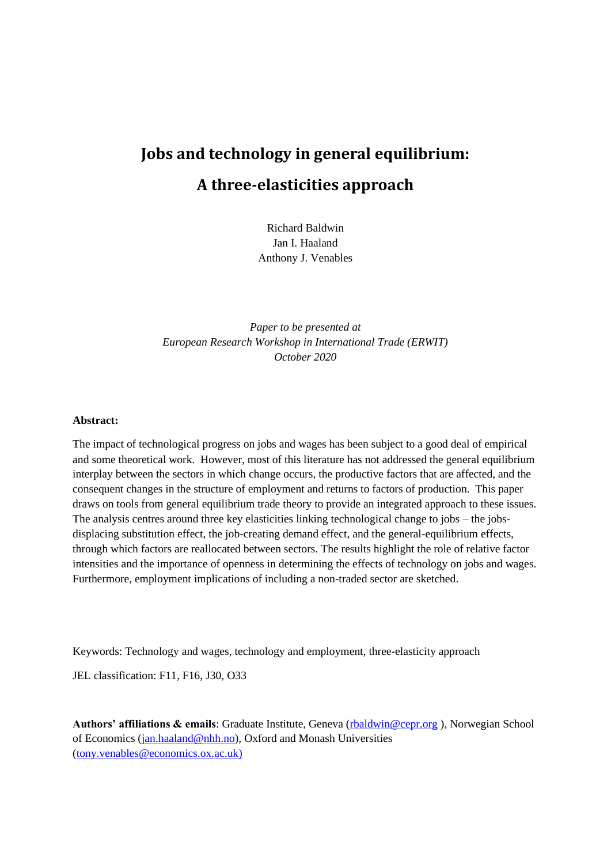# **Jobs and technology in general equilibrium: A three-elasticities approach**

Richard Baldwin Jan I. Haaland Anthony J. Venables

*Paper to be presented at European Research Workshop in International Trade (ERWIT) October 2020*

# **Abstract:**

The impact of technological progress on jobs and wages has been subject to a good deal of empirical and some theoretical work. However, most of this literature has not addressed the general equilibrium interplay between the sectors in which change occurs, the productive factors that are affected, and the consequent changes in the structure of employment and returns to factors of production. This paper draws on tools from general equilibrium trade theory to provide an integrated approach to these issues. The analysis centres around three key elasticities linking technological change to jobs – the jobsdisplacing substitution effect, the job-creating demand effect, and the general-equilibrium effects, through which factors are reallocated between sectors. The results highlight the role of relative factor intensities and the importance of openness in determining the effects of technology on jobs and wages. Furthermore, employment implications of including a non-traded sector are sketched.

Keywords: Technology and wages, technology and employment, three-elasticity approach

JEL classification: F11, F16, J30, O33

Authors' affiliations & emails: Graduate Institute, Geneva [\(rbaldwin@cepr.org](mailto:rbaldwin@cepr.org)), Norwegian School of Economics [\(jan.haaland@nhh.no\)](mailto:jan.haaland@nhh.org), Oxford and Monash Universities [\(tony.venables@economics.ox.ac.uk\)](mailto:tony.venables@economics.ox.ac.uk)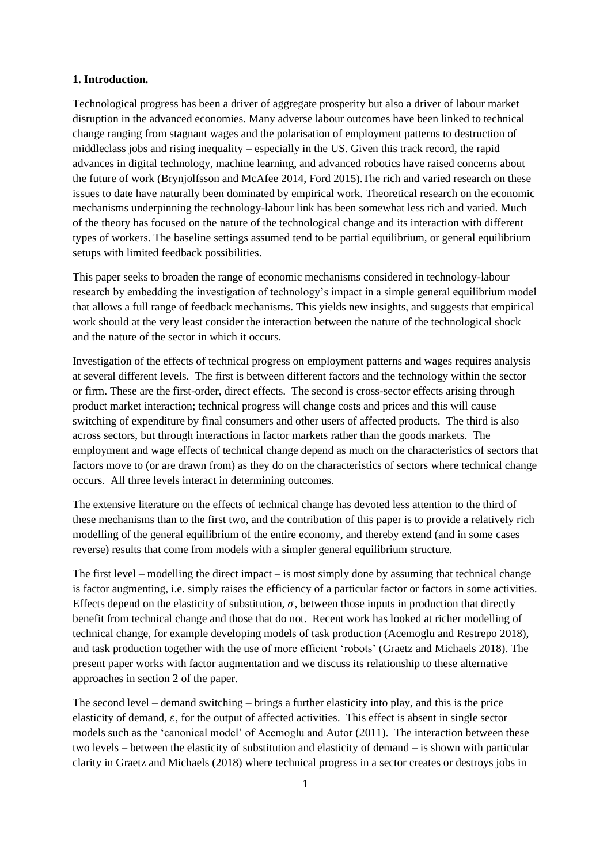# **1. Introduction.**

Technological progress has been a driver of aggregate prosperity but also a driver of labour market disruption in the advanced economies. Many adverse labour outcomes have been linked to technical change ranging from stagnant wages and the polarisation of employment patterns to destruction of middleclass jobs and rising inequality – especially in the US. Given this track record, the rapid advances in digital technology, machine learning, and advanced robotics have raised concerns about the future of work (Brynjolfsson and McAfee 2014, Ford 2015).The rich and varied research on these issues to date have naturally been dominated by empirical work. Theoretical research on the economic mechanisms underpinning the technology-labour link has been somewhat less rich and varied. Much of the theory has focused on the nature of the technological change and its interaction with different types of workers. The baseline settings assumed tend to be partial equilibrium, or general equilibrium setups with limited feedback possibilities.

This paper seeks to broaden the range of economic mechanisms considered in technology-labour research by embedding the investigation of technology's impact in a simple general equilibrium model that allows a full range of feedback mechanisms. This yields new insights, and suggests that empirical work should at the very least consider the interaction between the nature of the technological shock and the nature of the sector in which it occurs.

Investigation of the effects of technical progress on employment patterns and wages requires analysis at several different levels. The first is between different factors and the technology within the sector or firm. These are the first-order, direct effects. The second is cross-sector effects arising through product market interaction; technical progress will change costs and prices and this will cause switching of expenditure by final consumers and other users of affected products. The third is also across sectors, but through interactions in factor markets rather than the goods markets. The employment and wage effects of technical change depend as much on the characteristics of sectors that factors move to (or are drawn from) as they do on the characteristics of sectors where technical change occurs. All three levels interact in determining outcomes.

The extensive literature on the effects of technical change has devoted less attention to the third of these mechanisms than to the first two, and the contribution of this paper is to provide a relatively rich modelling of the general equilibrium of the entire economy, and thereby extend (and in some cases reverse) results that come from models with a simpler general equilibrium structure.

The first level – modelling the direct impact – is most simply done by assuming that technical change is factor augmenting, i.e. simply raises the efficiency of a particular factor or factors in some activities. Effects depend on the elasticity of substitution,  $\sigma$ , between those inputs in production that directly benefit from technical change and those that do not. Recent work has looked at richer modelling of technical change, for example developing models of task production (Acemoglu and Restrepo 2018), and task production together with the use of more efficient 'robots' (Graetz and Michaels 2018). The present paper works with factor augmentation and we discuss its relationship to these alternative approaches in section 2 of the paper.

The second level – demand switching – brings a further elasticity into play, and this is the price elasticity of demand,  $\varepsilon$ , for the output of affected activities. This effect is absent in single sector models such as the 'canonical model' of Acemoglu and Autor (2011). The interaction between these two levels – between the elasticity of substitution and elasticity of demand – is shown with particular clarity in Graetz and Michaels (2018) where technical progress in a sector creates or destroys jobs in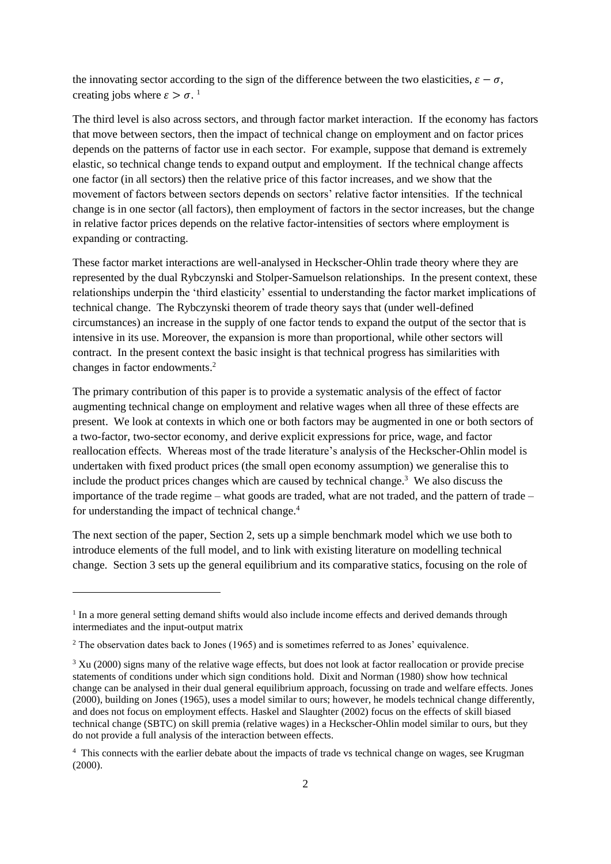the innovating sector according to the sign of the difference between the two elasticities,  $\varepsilon - \sigma$ , creating jobs where  $\varepsilon > \sigma$ .<sup>1</sup>

The third level is also across sectors, and through factor market interaction. If the economy has factors that move between sectors, then the impact of technical change on employment and on factor prices depends on the patterns of factor use in each sector. For example, suppose that demand is extremely elastic, so technical change tends to expand output and employment. If the technical change affects one factor (in all sectors) then the relative price of this factor increases, and we show that the movement of factors between sectors depends on sectors' relative factor intensities. If the technical change is in one sector (all factors), then employment of factors in the sector increases, but the change in relative factor prices depends on the relative factor-intensities of sectors where employment is expanding or contracting.

These factor market interactions are well-analysed in Heckscher-Ohlin trade theory where they are represented by the dual Rybczynski and Stolper-Samuelson relationships. In the present context, these relationships underpin the 'third elasticity' essential to understanding the factor market implications of technical change. The Rybczynski theorem of trade theory says that (under well-defined circumstances) an increase in the supply of one factor tends to expand the output of the sector that is intensive in its use. Moreover, the expansion is more than proportional, while other sectors will contract. In the present context the basic insight is that technical progress has similarities with changes in factor endowments.<sup>2</sup>

The primary contribution of this paper is to provide a systematic analysis of the effect of factor augmenting technical change on employment and relative wages when all three of these effects are present. We look at contexts in which one or both factors may be augmented in one or both sectors of a two-factor, two-sector economy, and derive explicit expressions for price, wage, and factor reallocation effects. Whereas most of the trade literature's analysis of the Heckscher-Ohlin model is undertaken with fixed product prices (the small open economy assumption) we generalise this to include the product prices changes which are caused by technical change.<sup>3</sup> We also discuss the importance of the trade regime – what goods are traded, what are not traded, and the pattern of trade – for understanding the impact of technical change.<sup>4</sup>

The next section of the paper, Section 2, sets up a simple benchmark model which we use both to introduce elements of the full model, and to link with existing literature on modelling technical change. Section 3 sets up the general equilibrium and its comparative statics, focusing on the role of

<sup>&</sup>lt;sup>1</sup> In a more general setting demand shifts would also include income effects and derived demands through intermediates and the input-output matrix

<sup>2</sup> The observation dates back to Jones (1965) and is sometimes referred to as Jones' equivalence.

<sup>&</sup>lt;sup>3</sup> Xu (2000) signs many of the relative wage effects, but does not look at factor reallocation or provide precise statements of conditions under which sign conditions hold. Dixit and Norman (1980) show how technical change can be analysed in their dual general equilibrium approach, focussing on trade and welfare effects. Jones (2000), building on Jones (1965), uses a model similar to ours; however, he models technical change differently, and does not focus on employment effects. Haskel and Slaughter (2002) focus on the effects of skill biased technical change (SBTC) on skill premia (relative wages) in a Heckscher-Ohlin model similar to ours, but they do not provide a full analysis of the interaction between effects.

<sup>&</sup>lt;sup>4</sup> This connects with the earlier debate about the impacts of trade vs technical change on wages, see Krugman (2000).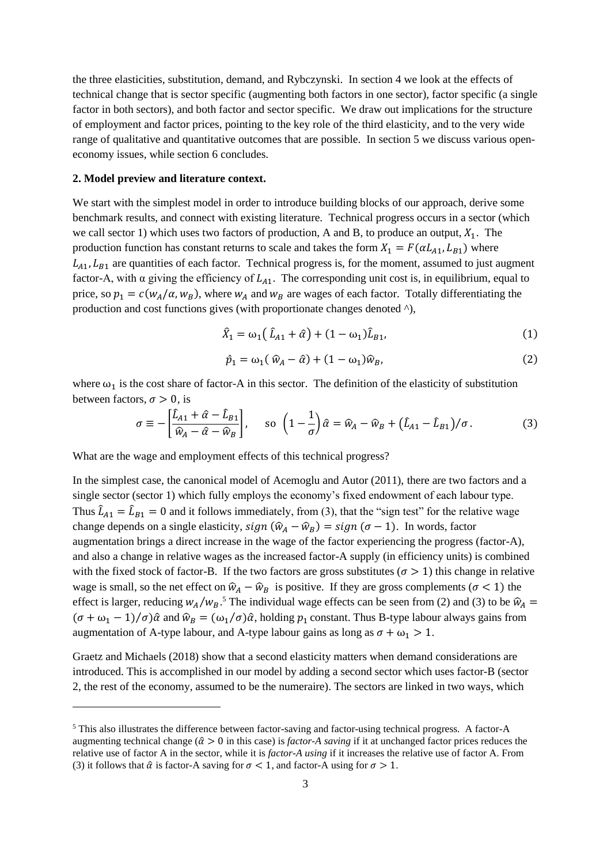the three elasticities, substitution, demand, and Rybczynski. In section 4 we look at the effects of technical change that is sector specific (augmenting both factors in one sector), factor specific (a single factor in both sectors), and both factor and sector specific. We draw out implications for the structure of employment and factor prices, pointing to the key role of the third elasticity, and to the very wide range of qualitative and quantitative outcomes that are possible. In section 5 we discuss various openeconomy issues, while section 6 concludes.

#### **2. Model preview and literature context.**

We start with the simplest model in order to introduce building blocks of our approach, derive some benchmark results, and connect with existing literature. Technical progress occurs in a sector (which we call sector 1) which uses two factors of production, A and B, to produce an output,  $X_1$ . The production function has constant returns to scale and takes the form  $X_1 = F(\alpha L_{A1}, L_{B1})$  where  $L_{A1}$ ,  $L_{B1}$  are quantities of each factor. Technical progress is, for the moment, assumed to just augment factor-A, with  $\alpha$  giving the efficiency of  $L_{A1}$ . The corresponding unit cost is, in equilibrium, equal to price, so  $p_1 = c(w_A/\alpha, w_B)$ , where  $w_A$  and  $w_B$  are wages of each factor. Totally differentiating the production and cost functions gives (with proportionate changes denoted ^),

$$
\hat{X}_1 = \omega_1 (\hat{L}_{A1} + \hat{\alpha}) + (1 - \omega_1) \hat{L}_{B1},
$$
\n(1)

$$
\hat{p}_1 = \omega_1(\,\hat{w}_A - \hat{\alpha}) + (1 - \omega_1)\hat{w}_B,\tag{2}
$$

where  $\omega_1$  is the cost share of factor-A in this sector. The definition of the elasticity of substitution between factors,  $\sigma > 0$ , is

$$
\sigma \equiv -\left[\frac{\hat{L}_{A1} + \hat{\alpha} - \hat{L}_{B1}}{\hat{w}_A - \hat{\alpha} - \hat{w}_B}\right], \quad \text{so } \left(1 - \frac{1}{\sigma}\right)\hat{\alpha} = \hat{w}_A - \hat{w}_B + \left(\hat{L}_{A1} - \hat{L}_{B1}\right)/\sigma. \tag{3}
$$

What are the wage and employment effects of this technical progress?

In the simplest case, the canonical model of Acemoglu and Autor (2011), there are two factors and a single sector (sector 1) which fully employs the economy's fixed endowment of each labour type. Thus  $\hat{L}_{A1} = \hat{L}_{B1} = 0$  and it follows immediately, from (3), that the "sign test" for the relative wage change depends on a single elasticity,  $sign(\hat{w}_A - \hat{w}_B) = sign(\sigma - 1)$ . In words, factor augmentation brings a direct increase in the wage of the factor experiencing the progress (factor-A), and also a change in relative wages as the increased factor-A supply (in efficiency units) is combined with the fixed stock of factor-B. If the two factors are gross substitutes ( $\sigma > 1$ ) this change in relative wage is small, so the net effect on  $\hat{w}_A - \hat{w}_B$  is positive. If they are gross complements ( $\sigma < 1$ ) the effect is larger, reducing  $w_A/w_B$ .<sup>5</sup> The individual wage effects can be seen from (2) and (3) to be  $\hat{w}_A$  =  $(\sigma + \omega_1 - 1)/\sigma$ ) $\hat{\alpha}$  and  $\hat{w}_B = (\omega_1/\sigma)\hat{\alpha}$ , holding  $p_1$  constant. Thus B-type labour always gains from augmentation of A-type labour, and A-type labour gains as long as  $\sigma + \omega_1 > 1$ .

Graetz and Michaels (2018) show that a second elasticity matters when demand considerations are introduced. This is accomplished in our model by adding a second sector which uses factor-B (sector 2, the rest of the economy, assumed to be the numeraire). The sectors are linked in two ways, which

<sup>5</sup> This also illustrates the difference between factor-saving and factor-using technical progress. A factor-A augmenting technical change ( $\hat{\alpha} > 0$  in this case) is *factor-A saving* if it at unchanged factor prices reduces the relative use of factor A in the sector, while it is *factor-A using* if it increases the relative use of factor A. From (3) it follows that  $\hat{\alpha}$  is factor-A saving for  $\sigma < 1$ , and factor-A using for  $\sigma > 1$ .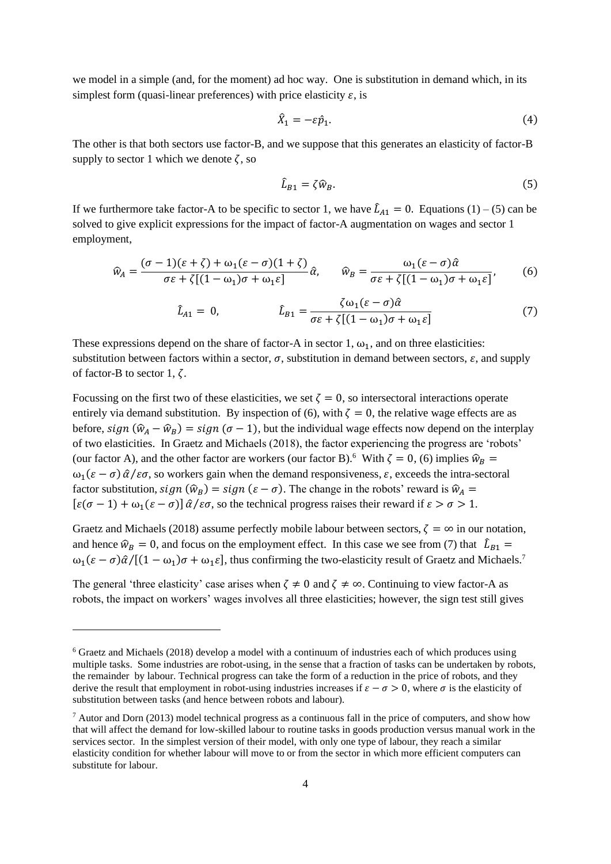we model in a simple (and, for the moment) ad hoc way. One is substitution in demand which, in its simplest form (quasi-linear preferences) with price elasticity  $\varepsilon$ , is

$$
\hat{X}_1 = -\varepsilon \hat{p}_1. \tag{4}
$$

The other is that both sectors use factor-B, and we suppose that this generates an elasticity of factor-B supply to sector 1 which we denote  $\zeta$ , so

$$
\hat{L}_{B1} = \zeta \hat{w}_B. \tag{5}
$$

If we furthermore take factor-A to be specific to sector 1, we have  $\hat{L}_{A1} = 0$ . Equations (1) – (5) can be solved to give explicit expressions for the impact of factor-A augmentation on wages and sector 1 employment,

$$
\widehat{w}_A = \frac{(\sigma - 1)(\varepsilon + \zeta) + \omega_1(\varepsilon - \sigma)(1 + \zeta)}{\sigma \varepsilon + \zeta[(1 - \omega_1)\sigma + \omega_1 \varepsilon]} \widehat{\alpha}, \qquad \widehat{w}_B = \frac{\omega_1(\varepsilon - \sigma)\widehat{\alpha}}{\sigma \varepsilon + \zeta[(1 - \omega_1)\sigma + \omega_1 \varepsilon]},\tag{6}
$$

$$
\hat{L}_{A1} = 0, \qquad \qquad \hat{L}_{B1} = \frac{\zeta \omega_1 (\varepsilon - \sigma) \hat{\alpha}}{\sigma \varepsilon + \zeta [(1 - \omega_1)\sigma + \omega_1 \varepsilon]}
$$
\n<sup>(7)</sup>

These expressions depend on the share of factor-A in sector 1,  $\omega_1$ , and on three elasticities: substitution between factors within a sector,  $\sigma$ , substitution in demand between sectors,  $\varepsilon$ , and supply of factor-B to sector 1,  $\zeta$ .

Focussing on the first two of these elasticities, we set  $\zeta = 0$ , so intersectoral interactions operate entirely via demand substitution. By inspection of (6), with  $\zeta = 0$ , the relative wage effects are as before,  $sign(\hat{w}_A - \hat{w}_B) = sign(\sigma - 1)$ , but the individual wage effects now depend on the interplay of two elasticities. In Graetz and Michaels (2018), the factor experiencing the progress are 'robots' (our factor A), and the other factor are workers (our factor B).<sup>6</sup> With  $\zeta = 0$ , (6) implies  $\hat{w}_B =$  $\omega_1(\epsilon - \sigma) \hat{\alpha}/\epsilon \sigma$ , so workers gain when the demand responsiveness,  $\epsilon$ , exceeds the intra-sectoral factor substitution,  $sign(\hat{w}_B) = sign(\varepsilon - \sigma)$ . The change in the robots' reward is  $\hat{w}_A$  =  $[\varepsilon(\sigma-1)+\omega_1(\varepsilon-\sigma)]\hat{\alpha}/\varepsilon\sigma$ , so the technical progress raises their reward if  $\varepsilon > \sigma > 1$ .

Graetz and Michaels (2018) assume perfectly mobile labour between sectors,  $\zeta = \infty$  in our notation, and hence  $\hat{w}_B = 0$ , and focus on the employment effect. In this case we see from (7) that  $\hat{L}_{B1} =$  $\omega_1(\epsilon-\sigma)\hat{\alpha}/[(1-\omega_1)\sigma+\omega_1\epsilon]$ , thus confirming the two-elasticity result of Graetz and Michaels.<sup>7</sup>

The general 'three elasticity' case arises when  $\zeta \neq 0$  and  $\zeta \neq \infty$ . Continuing to view factor-A as robots, the impact on workers' wages involves all three elasticities; however, the sign test still gives

<sup>6</sup> Graetz and Michaels (2018) develop a model with a continuum of industries each of which produces using multiple tasks. Some industries are robot-using, in the sense that a fraction of tasks can be undertaken by robots, the remainder by labour. Technical progress can take the form of a reduction in the price of robots, and they derive the result that employment in robot-using industries increases if  $\varepsilon - \sigma > 0$ , where  $\sigma$  is the elasticity of substitution between tasks (and hence between robots and labour).

 $^7$  Autor and Dorn (2013) model technical progress as a continuous fall in the price of computers, and show how that will affect the demand for low-skilled labour to routine tasks in goods production versus manual work in the services sector. In the simplest version of their model, with only one type of labour, they reach a similar elasticity condition for whether labour will move to or from the sector in which more efficient computers can substitute for labour.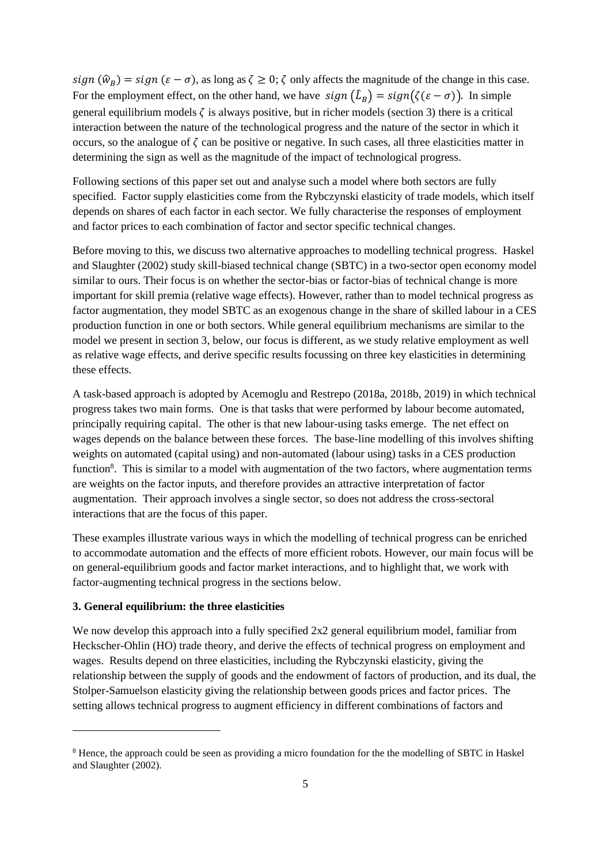$sign(\hat{w}_B) = sign (\varepsilon - \sigma)$ , as long as  $\zeta \geq 0$ ;  $\zeta$  only affects the magnitude of the change in this case. For the employment effect, on the other hand, we have  $sign(\hat{L}_B) = sign(\zeta(\varepsilon - \sigma))$ . In simple general equilibrium models  $\zeta$  is always positive, but in richer models (section 3) there is a critical interaction between the nature of the technological progress and the nature of the sector in which it occurs, so the analogue of  $\zeta$  can be positive or negative. In such cases, all three elasticities matter in determining the sign as well as the magnitude of the impact of technological progress.

Following sections of this paper set out and analyse such a model where both sectors are fully specified. Factor supply elasticities come from the Rybczynski elasticity of trade models, which itself depends on shares of each factor in each sector. We fully characterise the responses of employment and factor prices to each combination of factor and sector specific technical changes.

Before moving to this, we discuss two alternative approaches to modelling technical progress. Haskel and Slaughter (2002) study skill-biased technical change (SBTC) in a two-sector open economy model similar to ours. Their focus is on whether the sector-bias or factor-bias of technical change is more important for skill premia (relative wage effects). However, rather than to model technical progress as factor augmentation, they model SBTC as an exogenous change in the share of skilled labour in a CES production function in one or both sectors. While general equilibrium mechanisms are similar to the model we present in section 3, below, our focus is different, as we study relative employment as well as relative wage effects, and derive specific results focussing on three key elasticities in determining these effects.

A task-based approach is adopted by Acemoglu and Restrepo (2018a, 2018b, 2019) in which technical progress takes two main forms. One is that tasks that were performed by labour become automated, principally requiring capital. The other is that new labour-using tasks emerge. The net effect on wages depends on the balance between these forces. The base-line modelling of this involves shifting weights on automated (capital using) and non-automated (labour using) tasks in a CES production function<sup>8</sup>. This is similar to a model with augmentation of the two factors, where augmentation terms are weights on the factor inputs, and therefore provides an attractive interpretation of factor augmentation. Their approach involves a single sector, so does not address the cross-sectoral interactions that are the focus of this paper.

These examples illustrate various ways in which the modelling of technical progress can be enriched to accommodate automation and the effects of more efficient robots. However, our main focus will be on general-equilibrium goods and factor market interactions, and to highlight that, we work with factor-augmenting technical progress in the sections below.

## **3. General equilibrium: the three elasticities**

We now develop this approach into a fully specified  $2x2$  general equilibrium model, familiar from Heckscher-Ohlin (HO) trade theory, and derive the effects of technical progress on employment and wages. Results depend on three elasticities, including the Rybczynski elasticity, giving the relationship between the supply of goods and the endowment of factors of production, and its dual, the Stolper-Samuelson elasticity giving the relationship between goods prices and factor prices. The setting allows technical progress to augment efficiency in different combinations of factors and

<sup>8</sup> Hence, the approach could be seen as providing a micro foundation for the the modelling of SBTC in Haskel and Slaughter (2002).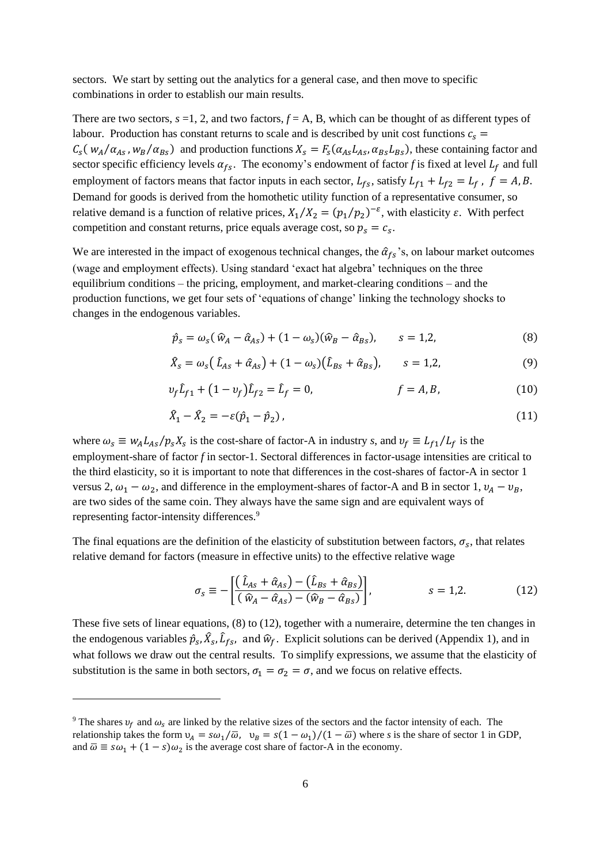sectors. We start by setting out the analytics for a general case, and then move to specific combinations in order to establish our main results.

There are two sectors,  $s = 1, 2$ , and two factors,  $f = A$ , B, which can be thought of as different types of labour. Production has constant returns to scale and is described by unit cost functions  $c_s$  =  $C_s(w_A/\alpha_{As}, w_B/\alpha_{Bs})$  and production functions  $X_s = F_s(\alpha_{As}L_{As}, \alpha_{Bs}L_{Bs})$ , these containing factor and sector specific efficiency levels  $\alpha_{fs}$ . The economy's endowment of factor *f* is fixed at level  $L_f$  and full employment of factors means that factor inputs in each sector,  $L_{fs}$ , satisfy  $L_{f1} + L_{f2} = L_f$ ,  $f = A, B$ . Demand for goods is derived from the homothetic utility function of a representative consumer, so relative demand is a function of relative prices,  $X_1/X_2 = (p_1/p_2)^{-\varepsilon}$ , with elasticity  $\varepsilon$ . With perfect competition and constant returns, price equals average cost, so  $p_s = c_s$ .

We are interested in the impact of exogenous technical changes, the  $\hat{\alpha}_{fs}$ 's, on labour market outcomes (wage and employment effects). Using standard 'exact hat algebra' techniques on the three equilibrium conditions – the pricing, employment, and market-clearing conditions – and the production functions, we get four sets of 'equations of change' linking the technology shocks to changes in the endogenous variables.

$$
\hat{p}_s = \omega_s (\hat{w}_A - \hat{\alpha}_{As}) + (1 - \omega_s)(\hat{w}_B - \hat{\alpha}_{Bs}), \qquad s = 1, 2,
$$
\n(8)

$$
\hat{X}_s = \omega_s \left( \hat{L}_{As} + \hat{\alpha}_{As} \right) + (1 - \omega_s) \left( \hat{L}_{Bs} + \hat{\alpha}_{Bs} \right), \qquad s = 1, 2, \tag{9}
$$

$$
\nu_f \hat{L}_{f1} + (1 - \nu_f) \hat{L}_{f2} = \hat{L}_f = 0, \qquad f = A, B,
$$
 (10)

$$
\hat{X}_1 - \hat{X}_2 = -\varepsilon(\hat{p}_1 - \hat{p}_2) \tag{11}
$$

where  $\omega_s \equiv w_A L_{As}/p_s X_s$  is the cost-share of factor-A in industry *s*, and  $v_f \equiv L_{f1}/L_f$  is the employment-share of factor *f* in sector-1. Sectoral differences in factor-usage intensities are critical to the third elasticity, so it is important to note that differences in the cost-shares of factor-A in sector 1 versus 2,  $\omega_1 - \omega_2$ , and difference in the employment-shares of factor-A and B in sector 1,  $v_A - v_B$ , are two sides of the same coin. They always have the same sign and are equivalent ways of representing factor-intensity differences.<sup>9</sup>

The final equations are the definition of the elasticity of substitution between factors,  $\sigma_s$ , that relates relative demand for factors (measure in effective units) to the effective relative wage

$$
\sigma_{s} \equiv -\left[\frac{(\hat{L}_{As} + \hat{\alpha}_{As}) - (\hat{L}_{Bs} + \hat{\alpha}_{Bs})}{(\hat{w}_{A} - \hat{\alpha}_{As}) - (\hat{w}_{B} - \hat{\alpha}_{Bs})}\right], \qquad s = 1, 2.
$$
 (12)

These five sets of linear equations, (8) to (12), together with a numeraire, determine the ten changes in the endogenous variables  $\hat{p}_s$ ,  $\hat{X}_s$ ,  $\hat{L}_{fs}$ , and  $\hat{w}_f$ . Explicit solutions can be derived (Appendix 1), and in what follows we draw out the central results. To simplify expressions, we assume that the elasticity of substitution is the same in both sectors,  $\sigma_1 = \sigma_2 = \sigma$ , and we focus on relative effects.

<sup>&</sup>lt;sup>9</sup> The shares  $v_f$  and  $\omega_s$  are linked by the relative sizes of the sectors and the factor intensity of each. The relationship takes the form  $v_A = s\omega_1/\overline{\omega}$ ,  $v_B = s(1 - \omega_1)/(1 - \overline{\omega})$  where *s* is the share of sector 1 in GDP, and  $\overline{\omega} \equiv s\omega_1 + (1 - s)\omega_2$  is the average cost share of factor-A in the economy.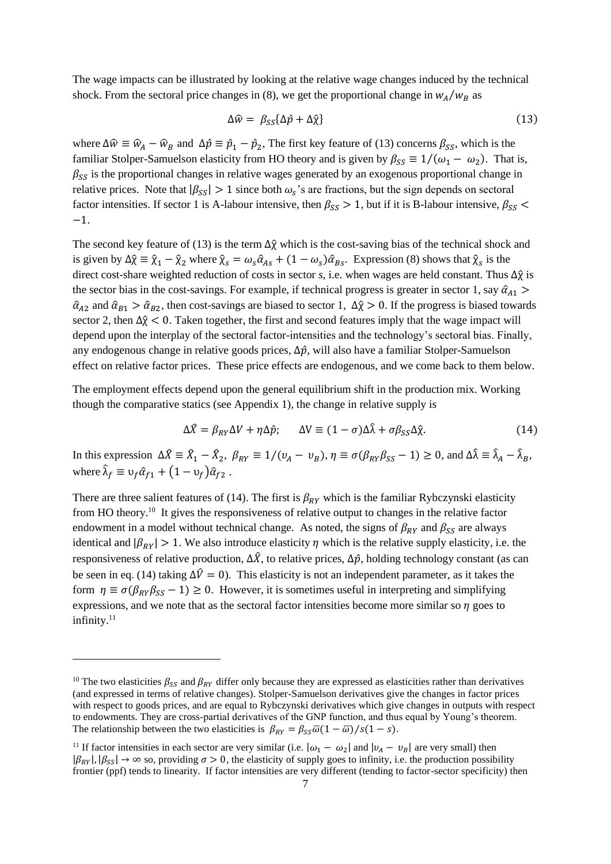The wage impacts can be illustrated by looking at the relative wage changes induced by the technical shock. From the sectoral price changes in (8), we get the proportional change in  $w_A/w_B$  as

$$
\Delta \widehat{w} = \beta_{SS} {\{\Delta \widehat{p} + \Delta \widehat{\chi}\}}
$$
 (13)

where  $\Delta \hat{w} \equiv \hat{w}_A - \hat{w}_B$  and  $\Delta \hat{p} \equiv \hat{p}_1 - \hat{p}_2$ , The first key feature of (13) concerns  $\beta_{SS}$ , which is the familiar Stolper-Samuelson elasticity from HO theory and is given by  $\beta_{SS} \equiv 1/(\omega_1 - \omega_2)$ . That is,  $\beta_{SS}$  is the proportional changes in relative wages generated by an exogenous proportional change in relative prices. Note that  $|\beta_{SS}| > 1$  since both  $\omega_s$ 's are fractions, but the sign depends on sectoral factor intensities. If sector 1 is A-labour intensive, then  $\beta_{SS} > 1$ , but if it is B-labour intensive,  $\beta_{SS} <$ −1.

The second key feature of (13) is the term  $\Delta \hat{\chi}$  which is the cost-saving bias of the technical shock and is given by  $\Delta \hat{\chi} \equiv \hat{\chi}_1 - \hat{\chi}_2$  where  $\hat{\chi}_s = \omega_s \hat{\alpha}_{As} + (1 - \omega_s) \hat{\alpha}_{Bs}$ . Expression (8) shows that  $\hat{\chi}_s$  is the direct cost-share weighted reduction of costs in sector *s*, i.e. when wages are held constant. Thus ∆χ̂ is the sector bias in the cost-savings. For example, if technical progress is greater in sector 1, say  $\hat{\alpha}_{A1}$  >  $\hat{\alpha}_{A2}$  and  $\hat{\alpha}_{B1} > \hat{\alpha}_{B2}$ , then cost-savings are biased to sector 1,  $\Delta \hat{\chi} > 0$ . If the progress is biased towards sector 2, then  $\Delta \hat{\chi} < 0$ . Taken together, the first and second features imply that the wage impact will depend upon the interplay of the sectoral factor-intensities and the technology's sectoral bias. Finally, any endogenous change in relative goods prices,  $\Delta \hat{p}$ , will also have a familiar Stolper-Samuelson effect on relative factor prices. These price effects are endogenous, and we come back to them below.

The employment effects depend upon the general equilibrium shift in the production mix. Working though the comparative statics (see Appendix 1), the change in relative supply is

$$
\Delta \hat{X} = \beta_{RY} \Delta V + \eta \Delta \hat{p}; \qquad \Delta V \equiv (1 - \sigma) \Delta \hat{\lambda} + \sigma \beta_{SS} \Delta \hat{\chi}.
$$
 (14)

In this expression  $\Delta \hat{X} = \hat{X}_1 - \hat{X}_2$ ,  $\beta_{RY} \equiv 1/(v_A - v_B)$ ,  $\eta \equiv \sigma(\beta_{RY}\beta_{SS} - 1) \ge 0$ , and  $\Delta \hat{\lambda} \equiv \hat{\lambda}_A - \hat{\lambda}_B$ , where  $\hat{\lambda}_f \equiv v_f \hat{\alpha}_{f1} + (1 - v_f) \hat{\alpha}_{f2}$ .

There are three salient features of (14). The first is  $\beta_{RY}$  which is the familiar Rybczynski elasticity from HO theory.<sup>10</sup> It gives the responsiveness of relative output to changes in the relative factor endowment in a model without technical change. As noted, the signs of  $\beta_{RY}$  and  $\beta_{SS}$  are always identical and  $|\beta_{RY}| > 1$ . We also introduce elasticity  $\eta$  which is the relative supply elasticity, i.e. the responsiveness of relative production,  $\Delta \hat{X}$ , to relative prices,  $\Delta \hat{p}$ , holding technology constant (as can be seen in eq. (14) taking  $\Delta\hat{V} = 0$ . This elasticity is not an independent parameter, as it takes the form  $\eta \equiv \sigma(\beta_{BY}\beta_{SS} - 1) \ge 0$ . However, it is sometimes useful in interpreting and simplifying expressions, and we note that as the sectoral factor intensities become more similar so  $\eta$  goes to infinity.<sup>11</sup>

<sup>&</sup>lt;sup>10</sup> The two elasticities  $\beta_{ss}$  and  $\beta_{BY}$  differ only because they are expressed as elasticities rather than derivatives (and expressed in terms of relative changes). Stolper-Samuelson derivatives give the changes in factor prices with respect to goods prices, and are equal to Rybczynski derivatives which give changes in outputs with respect to endowments. They are cross-partial derivatives of the GNP function, and thus equal by Young's theorem. The relationship between the two elasticities is  $\beta_{RY} = \beta_{SS}\overline{\omega}(1-\overline{\omega})/s(1-s)$ .

<sup>&</sup>lt;sup>11</sup> If factor intensities in each sector are very similar (i.e.  $|\omega_1 - \omega_2|$  and  $|v_A - v_B|$  are very small) then  $|\beta_{\text{RV}}|, |\beta_{\text{SV}}| \to \infty$  so, providing  $\sigma > 0$ , the elasticity of supply goes to infinity, i.e. the production possibility frontier (ppf) tends to linearity. If factor intensities are very different (tending to factor-sector specificity) then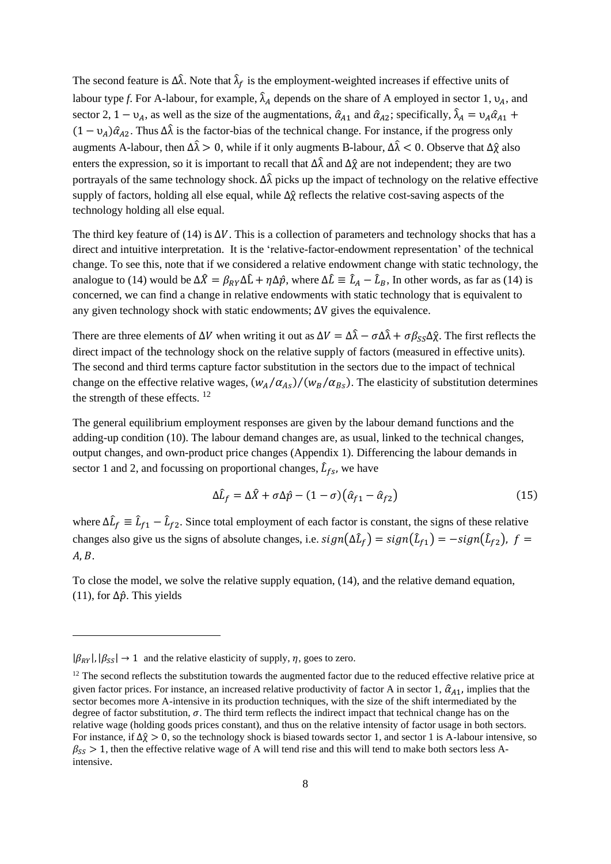The second feature is  $\Delta \hat{\lambda}$ . Note that  $\hat{\lambda}_f$  is the employment-weighted increases if effective units of labour type *f*. For A-labour, for example,  $\hat{\lambda}_A$  depends on the share of A employed in sector 1,  $\nu_A$ , and sector 2, 1 –  $v_A$ , as well as the size of the augmentations,  $\hat{\alpha}_{A1}$  and  $\hat{\alpha}_{A2}$ ; specifically,  $\hat{\lambda}_A = v_A \hat{\alpha}_{A1}$  +  $(1 - v_4)\hat{\alpha}_{42}$ . Thus  $\Delta \hat{\lambda}$  is the factor-bias of the technical change. For instance, if the progress only augments A-labour, then  $\Delta \hat{\lambda} > 0$ , while if it only augments B-labour,  $\Delta \hat{\lambda} < 0$ . Observe that  $\Delta \hat{\gamma}$  also enters the expression, so it is important to recall that  $\Delta \hat{\lambda}$  and  $\Delta \hat{\gamma}$  are not independent; they are two portrayals of the same technology shock.  $\Delta \hat{\lambda}$  picks up the impact of technology on the relative effective supply of factors, holding all else equal, while  $\Delta \hat{\chi}$  reflects the relative cost-saving aspects of the technology holding all else equal.

The third key feature of (14) is  $\Delta V$ . This is a collection of parameters and technology shocks that has a direct and intuitive interpretation. It is the 'relative-factor-endowment representation' of the technical change. To see this, note that if we considered a relative endowment change with static technology, the analogue to (14) would be  $\Delta \hat{X} = \beta_{RY} \Delta \hat{L} + \eta \Delta \hat{p}$ , where  $\Delta \hat{L} \equiv \hat{L}_A - \hat{L}_B$ , In other words, as far as (14) is concerned, we can find a change in relative endowments with static technology that is equivalent to any given technology shock with static endowments; ∆V gives the equivalence.

There are three elements of  $\Delta V$  when writing it out as  $\Delta V = \Delta \hat{\lambda} - \sigma \Delta \hat{\lambda} + \sigma \beta_{\rm sc} \Delta \hat{\chi}$ . The first reflects the direct impact of the technology shock on the relative supply of factors (measured in effective units). The second and third terms capture factor substitution in the sectors due to the impact of technical change on the effective relative wages,  $(w_A/\alpha_{As})/(w_B/\alpha_{Bs})$ . The elasticity of substitution determines the strength of these effects.  $12$ 

The general equilibrium employment responses are given by the labour demand functions and the adding-up condition (10). The labour demand changes are, as usual, linked to the technical changes, output changes, and own-product price changes (Appendix 1). Differencing the labour demands in sector 1 and 2, and focussing on proportional changes,  $\hat{L}_{fs}$ , we have

$$
\Delta \hat{L}_f = \Delta \hat{X} + \sigma \Delta \hat{p} - (1 - \sigma) \big( \hat{\alpha}_{f1} - \hat{\alpha}_{f2} \big)
$$
(15)

where  $\Delta \hat{L}_f \equiv \hat{L}_{f1} - \hat{L}_{f2}$ . Since total employment of each factor is constant, the signs of these relative changes also give us the signs of absolute changes, i.e.  $sign(\Delta \hat{L}_f) = sign(\hat{L}_{f1}) = -sign(\hat{L}_{f2})$ ,  $f =$  $A, B$ .

To close the model, we solve the relative supply equation, (14), and the relative demand equation, (11), for  $\Delta \hat{p}$ . This yields

 $|\beta_{\text{pv}}|, |\beta_{\text{cs}}| \rightarrow 1$  and the relative elasticity of supply,  $\eta$ , goes to zero.

 $12$  The second reflects the substitution towards the augmented factor due to the reduced effective relative price at given factor prices. For instance, an increased relative productivity of factor A in sector 1,  $\hat{\alpha}_{A1}$ , implies that the sector becomes more A-intensive in its production techniques, with the size of the shift intermediated by the degree of factor substitution,  $\sigma$ . The third term reflects the indirect impact that technical change has on the relative wage (holding goods prices constant), and thus on the relative intensity of factor usage in both sectors. For instance, if  $\Delta \hat{\chi} > 0$ , so the technology shock is biased towards sector 1, and sector 1 is A-labour intensive, so  $\beta_{ss} > 1$ , then the effective relative wage of A will tend rise and this will tend to make both sectors less Aintensive.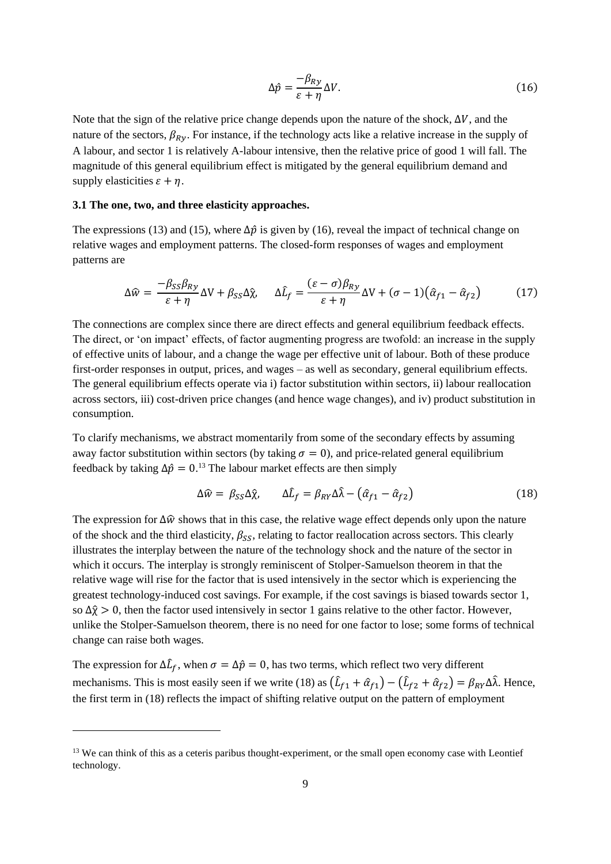$$
\Delta \hat{p} = \frac{-\beta_{Ry}}{\varepsilon + \eta} \Delta V. \tag{16}
$$

Note that the sign of the relative price change depends upon the nature of the shock,  $\Delta V$ , and the nature of the sectors,  $\beta_{Rv}$ . For instance, if the technology acts like a relative increase in the supply of A labour, and sector 1 is relatively A-labour intensive, then the relative price of good 1 will fall. The magnitude of this general equilibrium effect is mitigated by the general equilibrium demand and supply elasticities  $\varepsilon + \eta$ .

## **3.1 The one, two, and three elasticity approaches.**

The expressions (13) and (15), where  $\Delta \hat{p}$  is given by (16), reveal the impact of technical change on relative wages and employment patterns. The closed-form responses of wages and employment patterns are

$$
\Delta \widehat{w} = \frac{-\beta_{SS}\beta_{Ry}}{\varepsilon + \eta} \Delta V + \beta_{SS}\Delta \widehat{\chi}, \quad \Delta \widehat{L}_f = \frac{(\varepsilon - \sigma)\beta_{Ry}}{\varepsilon + \eta} \Delta V + (\sigma - 1)(\widehat{\alpha}_{f1} - \widehat{\alpha}_{f2}) \tag{17}
$$

The connections are complex since there are direct effects and general equilibrium feedback effects. The direct, or 'on impact' effects, of factor augmenting progress are twofold: an increase in the supply of effective units of labour, and a change the wage per effective unit of labour. Both of these produce first-order responses in output, prices, and wages – as well as secondary, general equilibrium effects. The general equilibrium effects operate via i) factor substitution within sectors, ii) labour reallocation across sectors, iii) cost-driven price changes (and hence wage changes), and iv) product substitution in consumption.

To clarify mechanisms, we abstract momentarily from some of the secondary effects by assuming away factor substitution within sectors (by taking  $\sigma = 0$ ), and price-related general equilibrium feedback by taking  $\Delta \hat{p} = 0.13$  The labour market effects are then simply

$$
\Delta \widehat{w} = \beta_{SS} \Delta \widehat{\chi}, \qquad \Delta \widehat{L}_f = \beta_{RY} \Delta \widehat{\lambda} - (\widehat{\alpha}_{f1} - \widehat{\alpha}_{f2}) \tag{18}
$$

The expression for  $\Delta\hat{w}$  shows that in this case, the relative wage effect depends only upon the nature of the shock and the third elasticity,  $\beta_{\rm SS}$ , relating to factor reallocation across sectors. This clearly illustrates the interplay between the nature of the technology shock and the nature of the sector in which it occurs. The interplay is strongly reminiscent of Stolper-Samuelson theorem in that the relative wage will rise for the factor that is used intensively in the sector which is experiencing the greatest technology-induced cost savings. For example, if the cost savings is biased towards sector 1, so  $\Delta \hat{\chi} > 0$ , then the factor used intensively in sector 1 gains relative to the other factor. However, unlike the Stolper-Samuelson theorem, there is no need for one factor to lose; some forms of technical change can raise both wages.

The expression for  $\Delta \hat{L}_f$ , when  $\sigma = \Delta \hat{p} = 0$ , has two terms, which reflect two very different mechanisms. This is most easily seen if we write (18) as  $(\hat{L}_{f1} + \hat{\alpha}_{f1}) - (\hat{L}_{f2} + \hat{\alpha}_{f2}) = \beta_{RY} \Delta \hat{\lambda}$ . Hence, the first term in (18) reflects the impact of shifting relative output on the pattern of employment

<sup>&</sup>lt;sup>13</sup> We can think of this as a ceteris paribus thought-experiment, or the small open economy case with Leontief technology.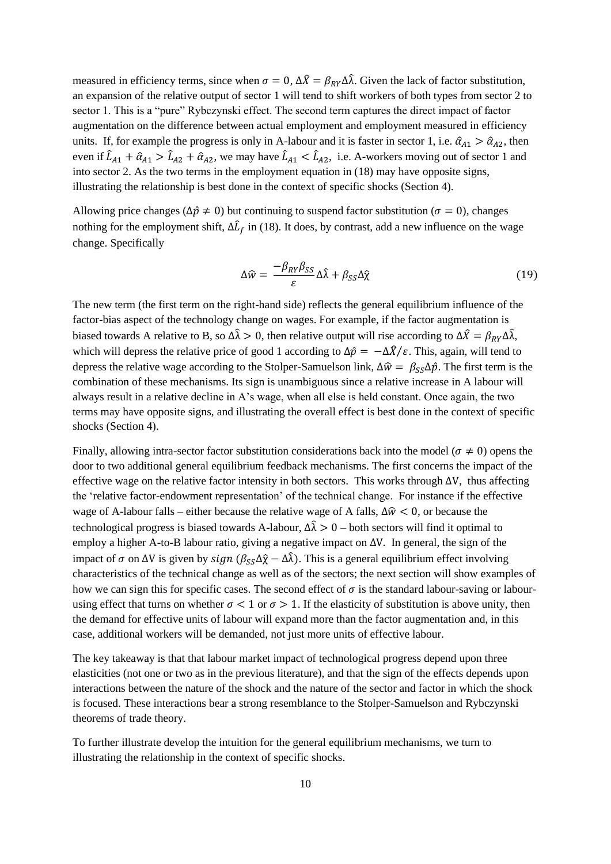measured in efficiency terms, since when  $\sigma = 0$ ,  $\Delta \hat{X} = \beta_{RY} \Delta \hat{\lambda}$ . Given the lack of factor substitution, an expansion of the relative output of sector 1 will tend to shift workers of both types from sector 2 to sector 1. This is a "pure" Rybczynski effect. The second term captures the direct impact of factor augmentation on the difference between actual employment and employment measured in efficiency units. If, for example the progress is only in A-labour and it is faster in sector 1, i.e.  $\hat{a}_{A1} > \hat{a}_{A2}$ , then even if  $\hat{L}_{A1} + \hat{\alpha}_{A1} > \hat{L}_{A2} + \hat{\alpha}_{A2}$ , we may have  $\hat{L}_{A1} < \hat{L}_{A2}$ , i.e. A-workers moving out of sector 1 and into sector 2. As the two terms in the employment equation in (18) may have opposite signs, illustrating the relationship is best done in the context of specific shocks (Section 4).

Allowing price changes ( $\Delta \hat{p} \neq 0$ ) but continuing to suspend factor substitution ( $\sigma = 0$ ), changes nothing for the employment shift,  $\Delta \hat{L}_f$  in (18). It does, by contrast, add a new influence on the wage change. Specifically

$$
\Delta \hat{w} = \frac{-\beta_{RY} \beta_{SS}}{\varepsilon} \Delta \hat{\lambda} + \beta_{SS} \Delta \hat{\chi}
$$
 (19)

The new term (the first term on the right-hand side) reflects the general equilibrium influence of the factor-bias aspect of the technology change on wages. For example, if the factor augmentation is biased towards A relative to B, so  $\Delta \hat{\lambda} > 0$ , then relative output will rise according to  $\Delta \hat{X} = \beta_{BY} \Delta \hat{\lambda}$ , which will depress the relative price of good 1 according to  $\Delta \hat{p} = -\Delta \hat{X}/\varepsilon$ . This, again, will tend to depress the relative wage according to the Stolper-Samuelson link,  $\Delta \hat{w} = \beta_{SS} \Delta \hat{p}$ . The first term is the combination of these mechanisms. Its sign is unambiguous since a relative increase in A labour will always result in a relative decline in A's wage, when all else is held constant. Once again, the two terms may have opposite signs, and illustrating the overall effect is best done in the context of specific shocks (Section 4).

Finally, allowing intra-sector factor substitution considerations back into the model ( $\sigma \neq 0$ ) opens the door to two additional general equilibrium feedback mechanisms. The first concerns the impact of the effective wage on the relative factor intensity in both sectors. This works through  $\Delta V$ , thus affecting the 'relative factor-endowment representation' of the technical change. For instance if the effective wage of A-labour falls – either because the relative wage of A falls,  $\Delta \hat{w}$  < 0, or because the technological progress is biased towards A-labour,  $\Delta \hat{\lambda} > 0$  – both sectors will find it optimal to employ a higher A-to-B labour ratio, giving a negative impact on ∆V. In general, the sign of the impact of σ on ΔV is given by  $sign (\beta_{ss} \Delta \hat{\chi} - \Delta \hat{\lambda})$ . This is a general equilibrium effect involving characteristics of the technical change as well as of the sectors; the next section will show examples of how we can sign this for specific cases. The second effect of  $\sigma$  is the standard labour-saving or labourusing effect that turns on whether  $\sigma < 1$  or  $\sigma > 1$ . If the elasticity of substitution is above unity, then the demand for effective units of labour will expand more than the factor augmentation and, in this case, additional workers will be demanded, not just more units of effective labour.

The key takeaway is that that labour market impact of technological progress depend upon three elasticities (not one or two as in the previous literature), and that the sign of the effects depends upon interactions between the nature of the shock and the nature of the sector and factor in which the shock is focused. These interactions bear a strong resemblance to the Stolper-Samuelson and Rybczynski theorems of trade theory.

To further illustrate develop the intuition for the general equilibrium mechanisms, we turn to illustrating the relationship in the context of specific shocks.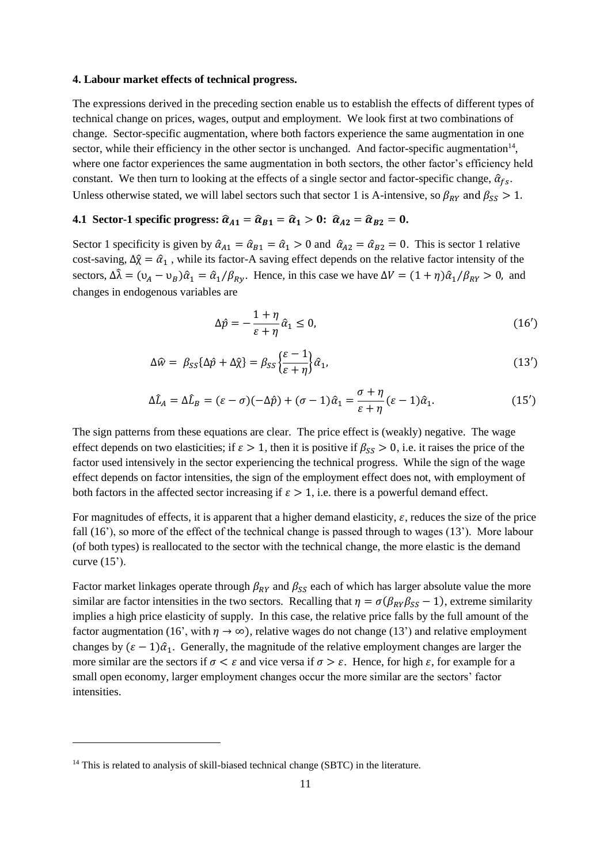#### **4. Labour market effects of technical progress.**

The expressions derived in the preceding section enable us to establish the effects of different types of technical change on prices, wages, output and employment. We look first at two combinations of change. Sector-specific augmentation, where both factors experience the same augmentation in one sector, while their efficiency in the other sector is unchanged. And factor-specific augmentation $14$ , where one factor experiences the same augmentation in both sectors, the other factor's efficiency held constant. We then turn to looking at the effects of a single sector and factor-specific change,  $\hat{\alpha}_{fs}$ . Unless otherwise stated, we will label sectors such that sector 1 is A-intensive, so  $\beta_{RY}$  and  $\beta_{SS} > 1$ .

# **4.1** Sector-1 specific progress:  $\hat{\alpha}_{A1} = \hat{\alpha}_{B1} = \hat{\alpha}_1 > 0$ :  $\hat{\alpha}_{A2} = \hat{\alpha}_{B2} = 0$ .

Sector 1 specificity is given by  $\hat{\alpha}_{A1} = \hat{\alpha}_{B1} = \hat{\alpha}_1 > 0$  and  $\hat{\alpha}_{A2} = \hat{\alpha}_{B2} = 0$ . This is sector 1 relative cost-saving,  $\Delta \hat{\chi} = \hat{\alpha}_1$ , while its factor-A saving effect depends on the relative factor intensity of the sectors,  $\Delta \hat{\lambda} = (\nu_A - \nu_B)\hat{\alpha}_1 = \hat{\alpha}_1/\beta_{Rv}$ . Hence, in this case we have  $\Delta V = (1 + \eta)\hat{\alpha}_1/\beta_{RV} > 0$ , and changes in endogenous variables are

$$
\Delta \hat{p} = -\frac{1+\eta}{\varepsilon+\eta} \hat{\alpha}_1 \le 0,\tag{16'}
$$

$$
\Delta \hat{w} = \beta_{SS} {\{\Delta \hat{p} + \Delta \hat{\chi}\}} = \beta_{SS} {\{\frac{\varepsilon - 1}{\varepsilon + \eta}\}} \hat{\alpha}_1,\tag{13'}
$$

$$
\Delta \hat{L}_A = \Delta \hat{L}_B = (\varepsilon - \sigma)(-\Delta \hat{p}) + (\sigma - 1)\hat{\alpha}_1 = \frac{\sigma + \eta}{\varepsilon + \eta} (\varepsilon - 1)\hat{\alpha}_1.
$$
\n(15')

The sign patterns from these equations are clear. The price effect is (weakly) negative. The wage effect depends on two elasticities; if  $\varepsilon > 1$ , then it is positive if  $\beta_{SS} > 0$ , i.e. it raises the price of the factor used intensively in the sector experiencing the technical progress. While the sign of the wage effect depends on factor intensities, the sign of the employment effect does not, with employment of both factors in the affected sector increasing if  $\varepsilon > 1$ , i.e. there is a powerful demand effect.

For magnitudes of effects, it is apparent that a higher demand elasticity,  $\varepsilon$ , reduces the size of the price fall (16'), so more of the effect of the technical change is passed through to wages (13'). More labour (of both types) is reallocated to the sector with the technical change, the more elastic is the demand curve  $(15')$ .

Factor market linkages operate through  $\beta_{RY}$  and  $\beta_{SS}$  each of which has larger absolute value the more similar are factor intensities in the two sectors. Recalling that  $\eta = \sigma(\beta_{RY}\beta_{SS} - 1)$ , extreme similarity implies a high price elasticity of supply. In this case, the relative price falls by the full amount of the factor augmentation (16', with  $\eta \to \infty$ ), relative wages do not change (13') and relative employment changes by  $(\epsilon - 1)\hat{\alpha}_1$ . Generally, the magnitude of the relative employment changes are larger the more similar are the sectors if  $\sigma < \varepsilon$  and vice versa if  $\sigma > \varepsilon$ . Hence, for high  $\varepsilon$ , for example for a small open economy, larger employment changes occur the more similar are the sectors' factor intensities.

<sup>&</sup>lt;sup>14</sup> This is related to analysis of skill-biased technical change (SBTC) in the literature.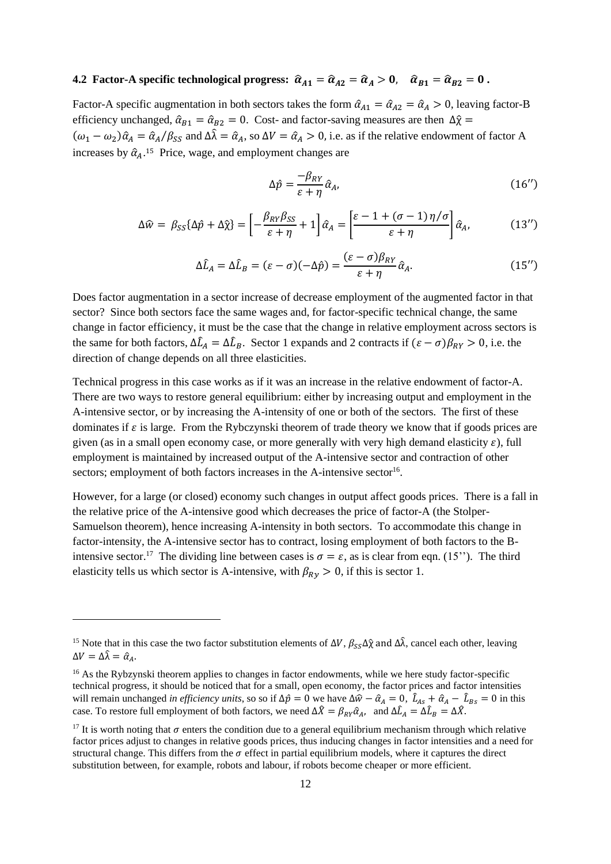# **4.2 Factor-A specific technological progress:**  $\hat{\alpha}_{A1} = \hat{\alpha}_{A2} = \hat{\alpha}_A > 0$ ,  $\hat{\alpha}_{B1} = \hat{\alpha}_{B2} = 0$ .

Factor-A specific augmentation in both sectors takes the form  $\hat{\alpha}_{A1} = \hat{\alpha}_{A2} = \hat{\alpha}_A > 0$ , leaving factor-B efficiency unchanged,  $\hat{\alpha}_{B1} = \hat{\alpha}_{B2} = 0$ . Cost- and factor-saving measures are then  $\Delta \hat{\chi} =$  $(\omega_1 - \omega_2)\hat{\alpha}_A = \hat{\alpha}_A/\beta_{SS}$  and  $\Delta\hat{\lambda} = \hat{\alpha}_A$ , so  $\Delta V = \hat{\alpha}_A > 0$ , i.e. as if the relative endowment of factor A increases by  $\hat{\alpha}_A$ .<sup>15</sup> Price, wage, and employment changes are

$$
\Delta \hat{p} = \frac{-\beta_{RY}}{\varepsilon + \eta} \hat{\alpha}_A,\tag{16'}
$$

$$
\Delta \widehat{w} = \beta_{SS} \{ \Delta \widehat{p} + \Delta \widehat{\chi} \} = \left[ -\frac{\beta_{RY} \beta_{SS}}{\epsilon + \eta} + 1 \right] \widehat{\alpha}_A = \left[ \frac{\epsilon - 1 + (\sigma - 1) \eta / \sigma}{\epsilon + \eta} \right] \widehat{\alpha}_A, \tag{13'}
$$

$$
\Delta \hat{L}_A = \Delta \hat{L}_B = (\varepsilon - \sigma)(-\Delta \hat{p}) = \frac{(\varepsilon - \sigma)\beta_{RY}}{\varepsilon + \eta} \hat{\alpha}_A.
$$
 (15'')

Does factor augmentation in a sector increase of decrease employment of the augmented factor in that sector? Since both sectors face the same wages and, for factor-specific technical change, the same change in factor efficiency, it must be the case that the change in relative employment across sectors is the same for both factors,  $\Delta \hat{L}_A = \Delta \hat{L}_B$ . Sector 1 expands and 2 contracts if  $(\varepsilon - \sigma)\beta_{RY} > 0$ , i.e. the direction of change depends on all three elasticities.

Technical progress in this case works as if it was an increase in the relative endowment of factor-A. There are two ways to restore general equilibrium: either by increasing output and employment in the A-intensive sector, or by increasing the A-intensity of one or both of the sectors. The first of these dominates if  $\varepsilon$  is large. From the Rybczynski theorem of trade theory we know that if goods prices are given (as in a small open economy case, or more generally with very high demand elasticity  $\varepsilon$ ), full employment is maintained by increased output of the A-intensive sector and contraction of other sectors; employment of both factors increases in the A-intensive sector<sup>16</sup>.

However, for a large (or closed) economy such changes in output affect goods prices. There is a fall in the relative price of the A-intensive good which decreases the price of factor-A (the Stolper-Samuelson theorem), hence increasing A-intensity in both sectors. To accommodate this change in factor-intensity, the A-intensive sector has to contract, losing employment of both factors to the Bintensive sector.<sup>17</sup> The dividing line between cases is  $\sigma = \varepsilon$ , as is clear from eqn. (15"). The third elasticity tells us which sector is A-intensive, with  $\beta_{Rv} > 0$ , if this is sector 1.

<sup>&</sup>lt;sup>15</sup> Note that in this case the two factor substitution elements of  $\Delta V$ ,  $\beta_{SS}\Delta\hat{\chi}$  and  $\Delta\hat{\lambda}$ , cancel each other, leaving  $\Delta V = \Delta \hat{\lambda} = \hat{\alpha}_A.$ 

<sup>&</sup>lt;sup>16</sup> As the Rybzynski theorem applies to changes in factor endowments, while we here study factor-specific technical progress, it should be noticed that for a small, open economy, the factor prices and factor intensities will remain unchanged *in efficiency units*, so so if  $\Delta \hat{p} = 0$  we have  $\Delta \hat{w} - \hat{\alpha}_A = 0$ ,  $\hat{L}_{As} + \hat{\alpha}_A - \hat{L}_{Bs} = 0$  in this case. To restore full employment of both factors, we need  $\Delta \hat{X} = \beta_{RY} \hat{\alpha}_A$ , and  $\Delta \hat{L}_A = \Delta \hat{L}_B = \Delta \hat{X}$ .

<sup>&</sup>lt;sup>17</sup> It is worth noting that  $\sigma$  enters the condition due to a general equilibrium mechanism through which relative factor prices adjust to changes in relative goods prices, thus inducing changes in factor intensities and a need for structural change. This differs from the  $\sigma$  effect in partial equilibrium models, where it captures the direct substitution between, for example, robots and labour, if robots become cheaper or more efficient.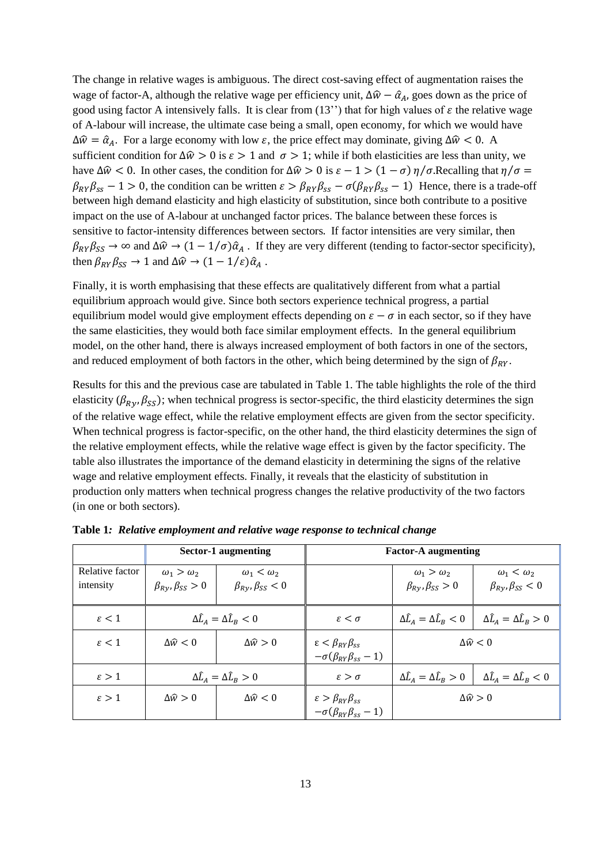The change in relative wages is ambiguous. The direct cost-saving effect of augmentation raises the wage of factor-A, although the relative wage per efficiency unit,  $\Delta \hat{w} - \hat{\alpha}_A$ , goes down as the price of good using factor A intensively falls. It is clear from (13") that for high values of  $\varepsilon$  the relative wage of A-labour will increase, the ultimate case being a small, open economy, for which we would have  $\Delta \hat{w} = \hat{\alpha}_A$ . For a large economy with low  $\varepsilon$ , the price effect may dominate, giving  $\Delta \hat{w} < 0$ . A sufficient condition for  $\Delta \hat{w} > 0$  is  $\varepsilon > 1$  and  $\sigma > 1$ ; while if both elasticities are less than unity, we have  $\Delta\hat{w}$  < 0. In other cases, the condition for  $\Delta\hat{w} > 0$  is  $\varepsilon - 1 > (1 - \sigma)\eta/\sigma$ . Recalling that  $\eta/\sigma =$  $\beta_{RY}\beta_{ss} - 1 > 0$ , the condition can be written  $\varepsilon > \beta_{RY}\beta_{ss} - \sigma(\beta_{RY}\beta_{ss} - 1)$  Hence, there is a trade-off between high demand elasticity and high elasticity of substitution, since both contribute to a positive impact on the use of A-labour at unchanged factor prices. The balance between these forces is sensitive to factor-intensity differences between sectors. If factor intensities are very similar, then  $\beta_{RY}\beta_{SS} \to \infty$  and  $\Delta\hat{w} \to (1 - 1/\sigma)\hat{\alpha}_A$ . If they are very different (tending to factor-sector specificity), then  $\beta_{RY} \beta_{SS} \rightarrow 1$  and  $\Delta \widehat{w} \rightarrow (1 - 1/\varepsilon) \widehat{\alpha}_A$ .

Finally, it is worth emphasising that these effects are qualitatively different from what a partial equilibrium approach would give. Since both sectors experience technical progress, a partial equilibrium model would give employment effects depending on  $\varepsilon - \sigma$  in each sector, so if they have the same elasticities, they would both face similar employment effects. In the general equilibrium model, on the other hand, there is always increased employment of both factors in one of the sectors, and reduced employment of both factors in the other, which being determined by the sign of  $\beta_{RY}$ .

Results for this and the previous case are tabulated in Table 1. The table highlights the role of the third elasticity ( $\beta_{RV}, \beta_{SS}$ ); when technical progress is sector-specific, the third elasticity determines the sign of the relative wage effect, while the relative employment effects are given from the sector specificity. When technical progress is factor-specific, on the other hand, the third elasticity determines the sign of the relative employment effects, while the relative wage effect is given by the factor specificity. The table also illustrates the importance of the demand elasticity in determining the signs of the relative wage and relative employment effects. Finally, it reveals that the elasticity of substitution in production only matters when technical progress changes the relative productivity of the two factors (in one or both sectors).

|                              | Sector-1 augmenting                                        |                                                       | <b>Factor-A augmenting</b>                                                         |                                                            |                                                       |
|------------------------------|------------------------------------------------------------|-------------------------------------------------------|------------------------------------------------------------------------------------|------------------------------------------------------------|-------------------------------------------------------|
| Relative factor<br>intensity | $\omega_1 > \omega_2$<br>$\beta_{R\gamma}, \beta_{SS} > 0$ | $\omega_1 < \omega_2$<br>$\beta_{Ry}, \beta_{SS} < 0$ |                                                                                    | $\omega_1 > \omega_2$<br>$\beta_{R\gamma}, \beta_{SS} > 0$ | $\omega_1 < \omega_2$<br>$\beta_{Ry}, \beta_{SS} < 0$ |
| $\varepsilon < 1$            | $\Delta \hat{L}_A = \Delta \hat{L}_B < 0$                  |                                                       | $\varepsilon < \sigma$                                                             | $\Delta \widehat{L}_A = \Delta \widehat{L}_B < 0$          | $\Delta \hat{L}_A = \Delta \hat{L}_B > 0$             |
| $\varepsilon < 1$            | $\Delta \hat{w} < 0$                                       | $\Delta\hat{w} > 0$                                   | $\varepsilon < \beta_{RY} \beta_{SS}$<br>$-\sigma(\beta_{RY}\beta_{ss}-1)$         | $\Delta\widehat{w} < 0$                                    |                                                       |
| $\varepsilon > 1$            | $\Delta \hat{L}_A = \Delta \hat{L}_B > 0$                  |                                                       | $\varepsilon > \sigma$                                                             | $\Delta \hat{L}_A = \Delta \hat{L}_B > 0$                  | $\Delta \hat{L}_A = \Delta \hat{L}_B < 0$             |
| $\varepsilon > 1$            | $\Delta \hat{w} > 0$                                       | $\Delta\widehat{w}$ < 0                               | $\varepsilon > \beta_{\rm RV} \beta_{\rm ss}$<br>$-\sigma(\beta_{RY}\beta_{ss}-1)$ | $\Delta\hat{w} > 0$                                        |                                                       |

**Table 1***: Relative employment and relative wage response to technical change*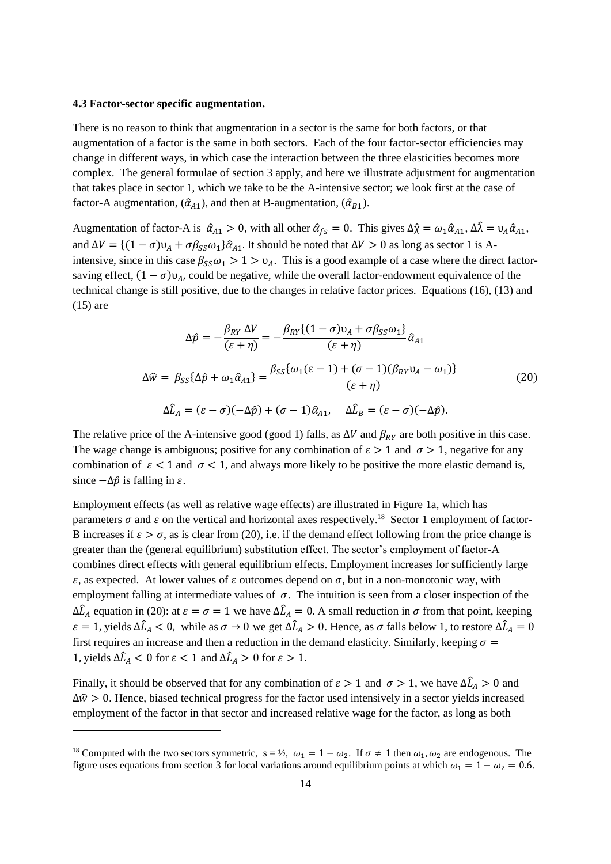#### **4.3 Factor-sector specific augmentation.**

There is no reason to think that augmentation in a sector is the same for both factors, or that augmentation of a factor is the same in both sectors. Each of the four factor-sector efficiencies may change in different ways, in which case the interaction between the three elasticities becomes more complex. The general formulae of section 3 apply, and here we illustrate adjustment for augmentation that takes place in sector 1, which we take to be the A-intensive sector; we look first at the case of factor-A augmentation,  $(\hat{\alpha}_{A1})$ , and then at B-augmentation,  $(\hat{\alpha}_{B1})$ .

Augmentation of factor-A is  $\hat{\alpha}_{A1} > 0$ , with all other  $\hat{\alpha}_{fs} = 0$ . This gives  $\Delta \hat{\chi} = \omega_1 \hat{\alpha}_{A1}$ ,  $\Delta \hat{\lambda} = \nu_A \hat{\alpha}_{A1}$ , and  $\Delta V = \{(1 - \sigma)v_A + \sigma\beta_{SS}\omega_1\}\hat{\alpha}_{A1}$ . It should be noted that  $\Delta V > 0$  as long as sector 1 is Aintensive, since in this case  $\beta_{SS}\omega_1 > 1 > v_A$ . This is a good example of a case where the direct factorsaving effect,  $(1 - \sigma) v_A$ , could be negative, while the overall factor-endowment equivalence of the technical change is still positive, due to the changes in relative factor prices. Equations (16), (13) and (15) are

$$
\Delta \hat{p} = -\frac{\beta_{RY} \Delta V}{(\varepsilon + \eta)} = -\frac{\beta_{RY}\{(1 - \sigma)v_A + \sigma \beta_{SS}\omega_1\}}{(\varepsilon + \eta)} \hat{\alpha}_{A1}
$$
  

$$
\Delta \hat{w} = \beta_{SS}\{\Delta \hat{p} + \omega_1 \hat{\alpha}_{A1}\} = \frac{\beta_{SS}\{\omega_1(\varepsilon - 1) + (\sigma - 1)(\beta_{RY}v_A - \omega_1)\}}{(\varepsilon + \eta)}
$$
  

$$
\Delta \hat{L}_A = (\varepsilon - \sigma)(-\Delta \hat{p}) + (\sigma - 1)\hat{\alpha}_{A1}, \quad \Delta \hat{L}_B = (\varepsilon - \sigma)(-\Delta \hat{p}).
$$
 (20)

The relative price of the A-intensive good (good 1) falls, as  $\Delta V$  and  $\beta_{RY}$  are both positive in this case. The wage change is ambiguous; positive for any combination of  $\varepsilon > 1$  and  $\sigma > 1$ , negative for any combination of  $\varepsilon < 1$  and  $\sigma < 1$ , and always more likely to be positive the more elastic demand is, since  $-\Delta \hat{p}$  is falling in  $\varepsilon$ .

Employment effects (as well as relative wage effects) are illustrated in Figure 1a, which has parameters  $\sigma$  and  $\varepsilon$  on the vertical and horizontal axes respectively.<sup>18</sup> Sector 1 employment of factor-B increases if  $\varepsilon > \sigma$ , as is clear from (20), i.e. if the demand effect following from the price change is greater than the (general equilibrium) substitution effect. The sector's employment of factor-A combines direct effects with general equilibrium effects. Employment increases for sufficiently large  $\varepsilon$ , as expected. At lower values of  $\varepsilon$  outcomes depend on  $\sigma$ , but in a non-monotonic way, with employment falling at intermediate values of  $\sigma$ . The intuition is seen from a closer inspection of the  $\Delta \hat{L}_A$  equation in (20): at  $\varepsilon = \sigma = 1$  we have  $\Delta \hat{L}_A = 0$ . A small reduction in  $\sigma$  from that point, keeping  $\varepsilon = 1$ , yields  $\Delta \hat{L}_A < 0$ , while as  $\sigma \to 0$  we get  $\Delta \hat{L}_A > 0$ . Hence, as  $\sigma$  falls below 1, to restore  $\Delta \hat{L}_A = 0$ first requires an increase and then a reduction in the demand elasticity. Similarly, keeping  $\sigma =$ 1, yields  $\Delta \hat{L}_A < 0$  for  $\varepsilon < 1$  and  $\Delta \hat{L}_A > 0$  for  $\varepsilon > 1$ .

Finally, it should be observed that for any combination of  $\varepsilon > 1$  and  $\sigma > 1$ , we have  $\Delta \hat{L}_A > 0$  and  $\Delta \hat{w} > 0$ . Hence, biased technical progress for the factor used intensively in a sector yields increased employment of the factor in that sector and increased relative wage for the factor, as long as both

<sup>&</sup>lt;sup>18</sup> Computed with the two sectors symmetric,  $s = \frac{1}{2}$ ,  $\omega_1 = 1 - \omega_2$ . If  $\sigma \neq 1$  then  $\omega_1$ ,  $\omega_2$  are endogenous. The figure uses equations from section 3 for local variations around equilibrium points at which  $\omega_1 = 1 - \omega_2 = 0.6$ .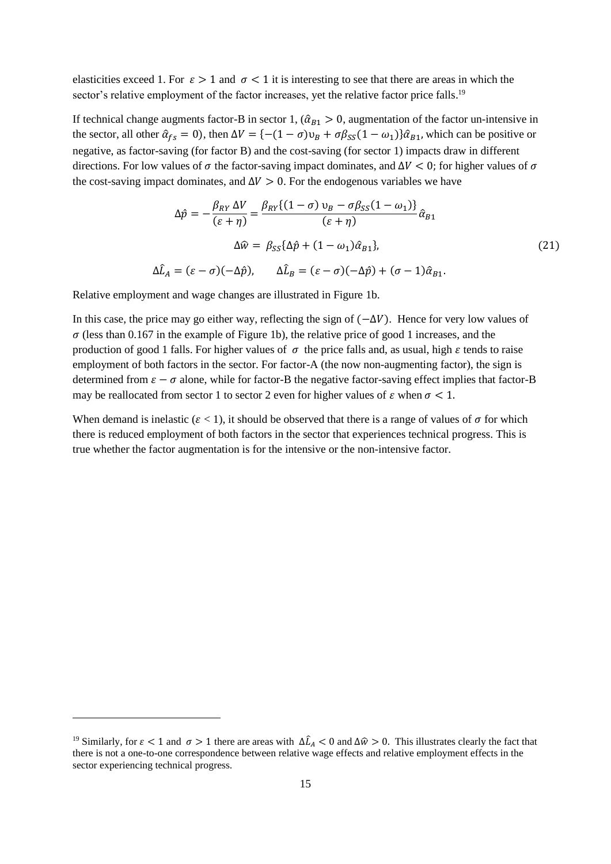elasticities exceed 1. For  $\varepsilon > 1$  and  $\sigma < 1$  it is interesting to see that there are areas in which the sector's relative employment of the factor increases, yet the relative factor price falls.<sup>19</sup>

If technical change augments factor-B in sector 1,  $(\hat{\alpha}_{B1} > 0$ , augmentation of the factor un-intensive in the sector, all other  $\hat{\alpha}_{fs} = 0$ , then  $\Delta V = \{-(1 - \sigma)v_B + \sigma\beta_{SS}(1 - \omega_1)\}\hat{\alpha}_{B1}$ , which can be positive or negative, as factor-saving (for factor B) and the cost-saving (for sector 1) impacts draw in different directions. For low values of  $\sigma$  the factor-saving impact dominates, and  $\Delta V < 0$ ; for higher values of  $\sigma$ the cost-saving impact dominates, and  $\Delta V > 0$ . For the endogenous variables we have

$$
\Delta \hat{p} = -\frac{\beta_{RY} \Delta V}{(\varepsilon + \eta)} = \frac{\beta_{RY} \{ (1 - \sigma) v_B - \sigma \beta_{SS} (1 - \omega_1) \}}{(\varepsilon + \eta)} \hat{\alpha}_{B1}
$$
  

$$
\Delta \hat{w} = \beta_{SS} \{ \Delta \hat{p} + (1 - \omega_1) \hat{\alpha}_{B1} \},
$$
  

$$
\Delta \hat{L}_A = (\varepsilon - \sigma)(-\Delta \hat{p}), \qquad \Delta \hat{L}_B = (\varepsilon - \sigma)(-\Delta \hat{p}) + (\sigma - 1) \hat{\alpha}_{B1}.
$$
 (21)

Relative employment and wage changes are illustrated in Figure 1b.

In this case, the price may go either way, reflecting the sign of  $(-\Delta V)$ . Hence for very low values of  $\sigma$  (less than 0.167 in the example of Figure 1b), the relative price of good 1 increases, and the production of good 1 falls. For higher values of  $\sigma$  the price falls and, as usual, high  $\varepsilon$  tends to raise employment of both factors in the sector. For factor-A (the now non-augmenting factor), the sign is determined from  $\varepsilon - \sigma$  alone, while for factor-B the negative factor-saving effect implies that factor-B may be reallocated from sector 1 to sector 2 even for higher values of  $\varepsilon$  when  $\sigma < 1$ .

When demand is inelastic ( $\varepsilon$  < 1), it should be observed that there is a range of values of  $\sigma$  for which there is reduced employment of both factors in the sector that experiences technical progress. This is true whether the factor augmentation is for the intensive or the non-intensive factor.

<sup>&</sup>lt;sup>19</sup> Similarly, for  $\varepsilon < 1$  and  $\sigma > 1$  there are areas with  $\Delta \hat{L}_A < 0$  and  $\Delta \hat{w} > 0$ . This illustrates clearly the fact that there is not a one-to-one correspondence between relative wage effects and relative employment effects in the sector experiencing technical progress.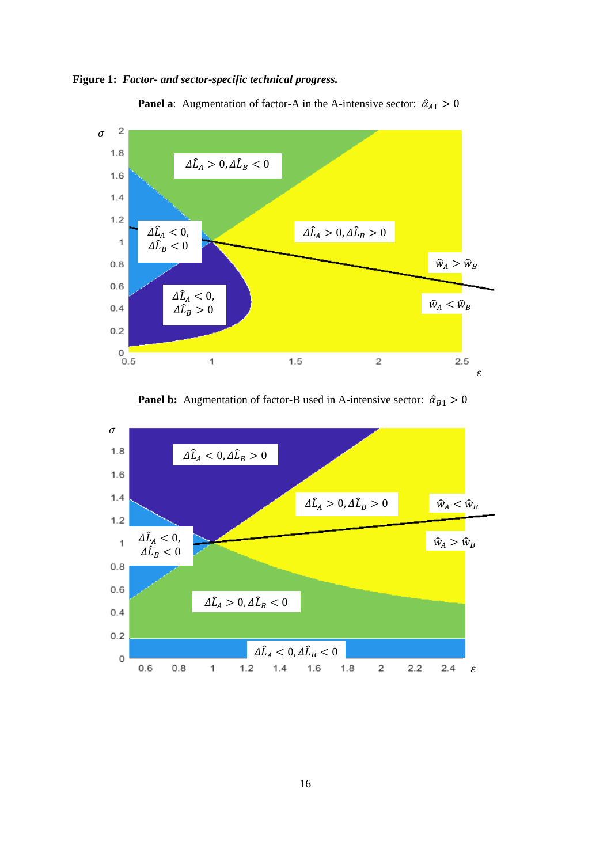



**Panel a**: Augmentation of factor-A in the A-intensive sector:  $\hat{\alpha}_{A1} > 0$ 



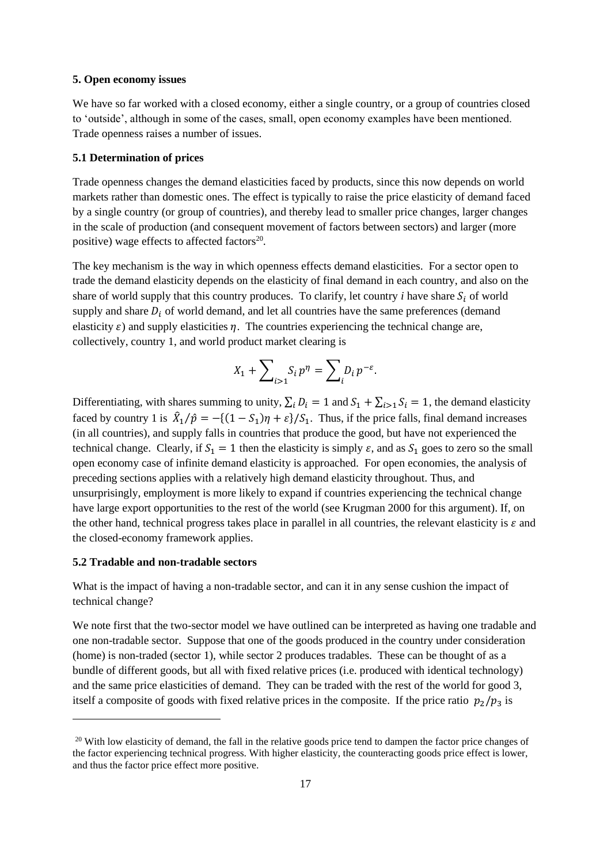## **5. Open economy issues**

We have so far worked with a closed economy, either a single country, or a group of countries closed to 'outside', although in some of the cases, small, open economy examples have been mentioned. Trade openness raises a number of issues.

#### **5.1 Determination of prices**

Trade openness changes the demand elasticities faced by products, since this now depends on world markets rather than domestic ones. The effect is typically to raise the price elasticity of demand faced by a single country (or group of countries), and thereby lead to smaller price changes, larger changes in the scale of production (and consequent movement of factors between sectors) and larger (more positive) wage effects to affected factors $20$ .

The key mechanism is the way in which openness effects demand elasticities. For a sector open to trade the demand elasticity depends on the elasticity of final demand in each country, and also on the share of world supply that this country produces. To clarify, let country  $i$  have share  $S_i$  of world supply and share  $D_i$  of world demand, and let all countries have the same preferences (demand elasticity  $\varepsilon$ ) and supply elasticities  $\eta$ . The countries experiencing the technical change are, collectively, country 1, and world product market clearing is

$$
X_1 + \sum\nolimits_{i>1} S_i p^\eta = \sum\nolimits_i D_i p^{-\varepsilon}.
$$

Differentiating, with shares summing to unity,  $\sum_i D_i = 1$  and  $S_1 + \sum_{i>1} S_i = 1$ , the demand elasticity faced by country 1 is  $\hat{X}_1/\hat{p} = -\{(1 - S_1)\eta + \varepsilon\}/S_1$ . Thus, if the price falls, final demand increases (in all countries), and supply falls in countries that produce the good, but have not experienced the technical change. Clearly, if  $S_1 = 1$  then the elasticity is simply  $\varepsilon$ , and as  $S_1$  goes to zero so the small open economy case of infinite demand elasticity is approached. For open economies, the analysis of preceding sections applies with a relatively high demand elasticity throughout. Thus, and unsurprisingly, employment is more likely to expand if countries experiencing the technical change have large export opportunities to the rest of the world (see Krugman 2000 for this argument). If, on the other hand, technical progress takes place in parallel in all countries, the relevant elasticity is  $\varepsilon$  and the closed-economy framework applies.

# **5.2 Tradable and non-tradable sectors**

What is the impact of having a non-tradable sector, and can it in any sense cushion the impact of technical change?

We note first that the two-sector model we have outlined can be interpreted as having one tradable and one non-tradable sector. Suppose that one of the goods produced in the country under consideration (home) is non-traded (sector 1), while sector 2 produces tradables. These can be thought of as a bundle of different goods, but all with fixed relative prices (i.e. produced with identical technology) and the same price elasticities of demand. They can be traded with the rest of the world for good 3, itself a composite of goods with fixed relative prices in the composite. If the price ratio  $p_2/p_3$  is

<sup>&</sup>lt;sup>20</sup> With low elasticity of demand, the fall in the relative goods price tend to dampen the factor price changes of the factor experiencing technical progress. With higher elasticity, the counteracting goods price effect is lower, and thus the factor price effect more positive.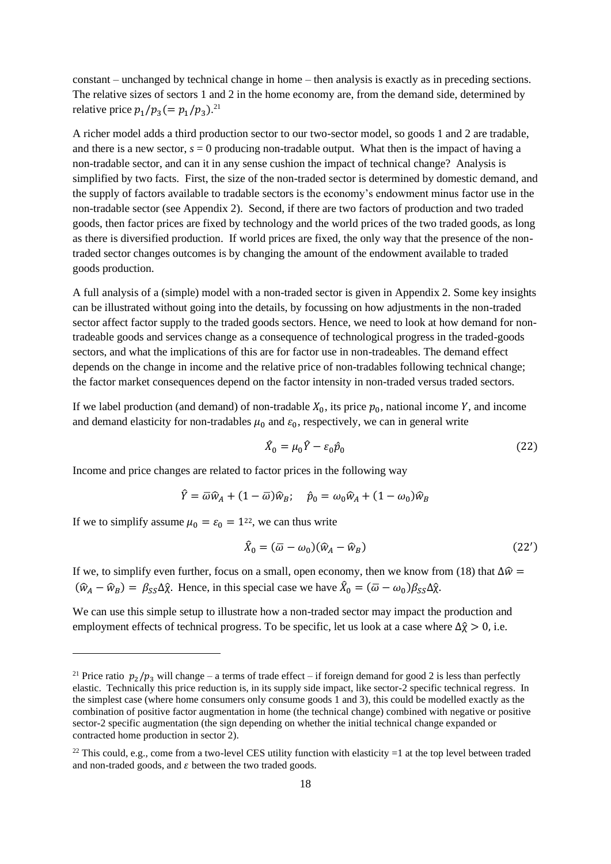constant – unchanged by technical change in home – then analysis is exactly as in preceding sections. The relative sizes of sectors 1 and 2 in the home economy are, from the demand side, determined by relative price  $p_1/p_3 (= p_1/p_3).$ <sup>21</sup>

A richer model adds a third production sector to our two-sector model, so goods 1 and 2 are tradable, and there is a new sector,  $s = 0$  producing non-tradable output. What then is the impact of having a non-tradable sector, and can it in any sense cushion the impact of technical change? Analysis is simplified by two facts. First, the size of the non-traded sector is determined by domestic demand, and the supply of factors available to tradable sectors is the economy's endowment minus factor use in the non-tradable sector (see Appendix 2). Second, if there are two factors of production and two traded goods, then factor prices are fixed by technology and the world prices of the two traded goods, as long as there is diversified production. If world prices are fixed, the only way that the presence of the nontraded sector changes outcomes is by changing the amount of the endowment available to traded goods production.

A full analysis of a (simple) model with a non-traded sector is given in Appendix 2. Some key insights can be illustrated without going into the details, by focussing on how adjustments in the non-traded sector affect factor supply to the traded goods sectors. Hence, we need to look at how demand for nontradeable goods and services change as a consequence of technological progress in the traded-goods sectors, and what the implications of this are for factor use in non-tradeables. The demand effect depends on the change in income and the relative price of non-tradables following technical change; the factor market consequences depend on the factor intensity in non-traded versus traded sectors.

If we label production (and demand) of non-tradable  $X_0$ , its price  $p_0$ , national income Y, and income and demand elasticity for non-tradables  $\mu_0$  and  $\varepsilon_0$ , respectively, we can in general write

$$
\hat{X}_0 = \mu_0 \hat{Y} - \varepsilon_0 \hat{p}_0 \tag{22}
$$

Income and price changes are related to factor prices in the following way

$$
\hat{Y} = \overline{\omega}\hat{w}_A + (1 - \overline{\omega})\hat{w}_B; \quad \hat{p}_0 = \omega_0 \hat{w}_A + (1 - \omega_0)\hat{w}_B
$$

If we to simplify assume  $\mu_0 = \varepsilon_0 = 1^{22}$ , we can thus write

$$
\hat{X}_0 = (\overline{\omega} - \omega_0)(\hat{w}_A - \hat{w}_B) \tag{22'}
$$

If we, to simplify even further, focus on a small, open economy, then we know from (18) that  $\Delta \hat{w} =$  $(\hat{w}_A - \hat{w}_B) = \beta_{SS} \Delta \hat{\chi}$ . Hence, in this special case we have  $\hat{X}_0 = (\bar{\omega} - \omega_0) \beta_{SS} \Delta \hat{\chi}$ .

We can use this simple setup to illustrate how a non-traded sector may impact the production and employment effects of technical progress. To be specific, let us look at a case where  $\Delta \hat{\chi} > 0$ , i.e.

<sup>&</sup>lt;sup>21</sup> Price ratio  $p_2/p_3$  will change – a terms of trade effect – if foreign demand for good 2 is less than perfectly elastic. Technically this price reduction is, in its supply side impact, like sector-2 specific technical regress. In the simplest case (where home consumers only consume goods 1 and 3), this could be modelled exactly as the combination of positive factor augmentation in home (the technical change) combined with negative or positive sector-2 specific augmentation (the sign depending on whether the initial technical change expanded or contracted home production in sector 2).

<sup>&</sup>lt;sup>22</sup> This could, e.g., come from a two-level CES utility function with elasticity  $=1$  at the top level between traded and non-traded goods, and  $\varepsilon$  between the two traded goods.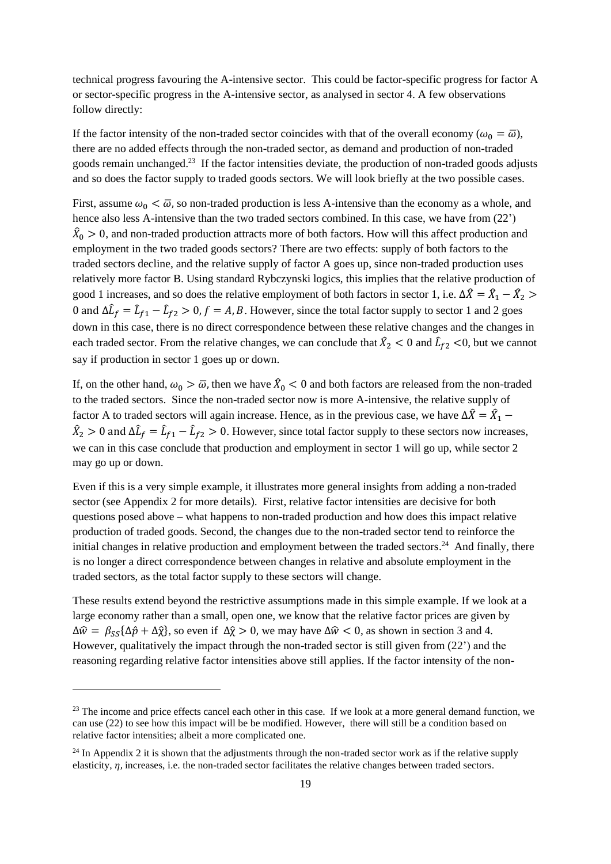technical progress favouring the A-intensive sector. This could be factor-specific progress for factor A or sector-specific progress in the A-intensive sector, as analysed in sector 4. A few observations follow directly:

If the factor intensity of the non-traded sector coincides with that of the overall economy ( $\omega_0 = \overline{\omega}$ ), there are no added effects through the non-traded sector, as demand and production of non-traded goods remain unchanged. <sup>23</sup> If the factor intensities deviate, the production of non-traded goods adjusts and so does the factor supply to traded goods sectors. We will look briefly at the two possible cases.

First, assume  $\omega_0 < \bar{\omega}$ , so non-traded production is less A-intensive than the economy as a whole, and hence also less A-intensive than the two traded sectors combined. In this case, we have from (22')  $\hat{X}_0 > 0$ , and non-traded production attracts more of both factors. How will this affect production and employment in the two traded goods sectors? There are two effects: supply of both factors to the traded sectors decline, and the relative supply of factor A goes up, since non-traded production uses relatively more factor B. Using standard Rybczynski logics, this implies that the relative production of good 1 increases, and so does the relative employment of both factors in sector 1, i.e.  $\Delta \hat{X} = \hat{X}_1 - \hat{X}_2$ 0 and  $\Delta \hat{L}_f = \hat{L}_{f1} - \hat{L}_{f2} > 0, f = A, B$ . However, since the total factor supply to sector 1 and 2 goes down in this case, there is no direct correspondence between these relative changes and the changes in each traded sector. From the relative changes, we can conclude that  $\hat{X}_2 < 0$  and  $\hat{L}_{f2} < 0$ , but we cannot say if production in sector 1 goes up or down.

If, on the other hand,  $\omega_0 > \bar{\omega}$ , then we have  $\hat{X}_0 < 0$  and both factors are released from the non-traded to the traded sectors. Since the non-traded sector now is more A-intensive, the relative supply of factor A to traded sectors will again increase. Hence, as in the previous case, we have  $\Delta \hat{X} = \hat{X}_1$  –  $\hat{X}_2 > 0$  and  $\Delta \hat{L}_f = \hat{L}_{f1} - \hat{L}_{f2} > 0$ . However, since total factor supply to these sectors now increases, we can in this case conclude that production and employment in sector 1 will go up, while sector 2 may go up or down.

Even if this is a very simple example, it illustrates more general insights from adding a non-traded sector (see Appendix 2 for more details). First, relative factor intensities are decisive for both questions posed above – what happens to non-traded production and how does this impact relative production of traded goods. Second, the changes due to the non-traded sector tend to reinforce the initial changes in relative production and employment between the traded sectors.<sup>24</sup> And finally, there is no longer a direct correspondence between changes in relative and absolute employment in the traded sectors, as the total factor supply to these sectors will change.

These results extend beyond the restrictive assumptions made in this simple example. If we look at a large economy rather than a small, open one, we know that the relative factor prices are given by  $\Delta \hat{w} = \beta_{SS} {\Delta \hat{p} + \Delta \hat{\chi}}$ , so even if  $\Delta \hat{\chi} > 0$ , we may have  $\Delta \hat{w} < 0$ , as shown in section 3 and 4. However, qualitatively the impact through the non-traded sector is still given from (22') and the reasoning regarding relative factor intensities above still applies. If the factor intensity of the non-

<sup>&</sup>lt;sup>23</sup> The income and price effects cancel each other in this case. If we look at a more general demand function, we can use (22) to see how this impact will be be modified. However, there will still be a condition based on relative factor intensities; albeit a more complicated one.

 $^{24}$  In Appendix 2 it is shown that the adjustments through the non-traded sector work as if the relative supply elasticity,  $\eta$ , increases, i.e. the non-traded sector facilitates the relative changes between traded sectors.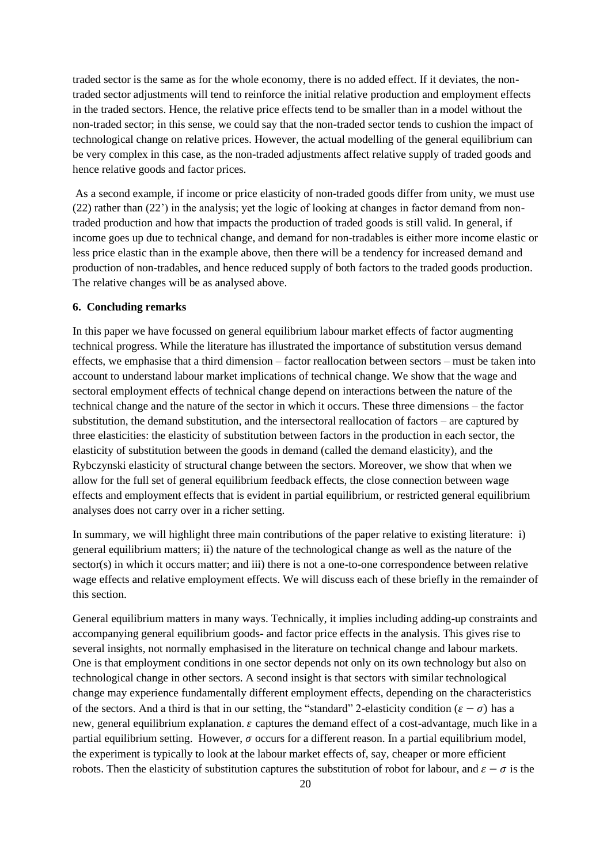traded sector is the same as for the whole economy, there is no added effect. If it deviates, the nontraded sector adjustments will tend to reinforce the initial relative production and employment effects in the traded sectors. Hence, the relative price effects tend to be smaller than in a model without the non-traded sector; in this sense, we could say that the non-traded sector tends to cushion the impact of technological change on relative prices. However, the actual modelling of the general equilibrium can be very complex in this case, as the non-traded adjustments affect relative supply of traded goods and hence relative goods and factor prices.

As a second example, if income or price elasticity of non-traded goods differ from unity, we must use (22) rather than (22') in the analysis; yet the logic of looking at changes in factor demand from nontraded production and how that impacts the production of traded goods is still valid. In general, if income goes up due to technical change, and demand for non-tradables is either more income elastic or less price elastic than in the example above, then there will be a tendency for increased demand and production of non-tradables, and hence reduced supply of both factors to the traded goods production. The relative changes will be as analysed above.

#### **6. Concluding remarks**

In this paper we have focussed on general equilibrium labour market effects of factor augmenting technical progress. While the literature has illustrated the importance of substitution versus demand effects, we emphasise that a third dimension – factor reallocation between sectors – must be taken into account to understand labour market implications of technical change. We show that the wage and sectoral employment effects of technical change depend on interactions between the nature of the technical change and the nature of the sector in which it occurs. These three dimensions – the factor substitution, the demand substitution, and the intersectoral reallocation of factors – are captured by three elasticities: the elasticity of substitution between factors in the production in each sector, the elasticity of substitution between the goods in demand (called the demand elasticity), and the Rybczynski elasticity of structural change between the sectors. Moreover, we show that when we allow for the full set of general equilibrium feedback effects, the close connection between wage effects and employment effects that is evident in partial equilibrium, or restricted general equilibrium analyses does not carry over in a richer setting.

In summary, we will highlight three main contributions of the paper relative to existing literature: i) general equilibrium matters; ii) the nature of the technological change as well as the nature of the sector(s) in which it occurs matter; and iii) there is not a one-to-one correspondence between relative wage effects and relative employment effects. We will discuss each of these briefly in the remainder of this section.

General equilibrium matters in many ways. Technically, it implies including adding-up constraints and accompanying general equilibrium goods- and factor price effects in the analysis. This gives rise to several insights, not normally emphasised in the literature on technical change and labour markets. One is that employment conditions in one sector depends not only on its own technology but also on technological change in other sectors. A second insight is that sectors with similar technological change may experience fundamentally different employment effects, depending on the characteristics of the sectors. And a third is that in our setting, the "standard" 2-elasticity condition ( $\varepsilon - \sigma$ ) has a new, general equilibrium explanation.  $\varepsilon$  captures the demand effect of a cost-advantage, much like in a partial equilibrium setting. However,  $\sigma$  occurs for a different reason. In a partial equilibrium model, the experiment is typically to look at the labour market effects of, say, cheaper or more efficient robots. Then the elasticity of substitution captures the substitution of robot for labour, and  $\varepsilon - \sigma$  is the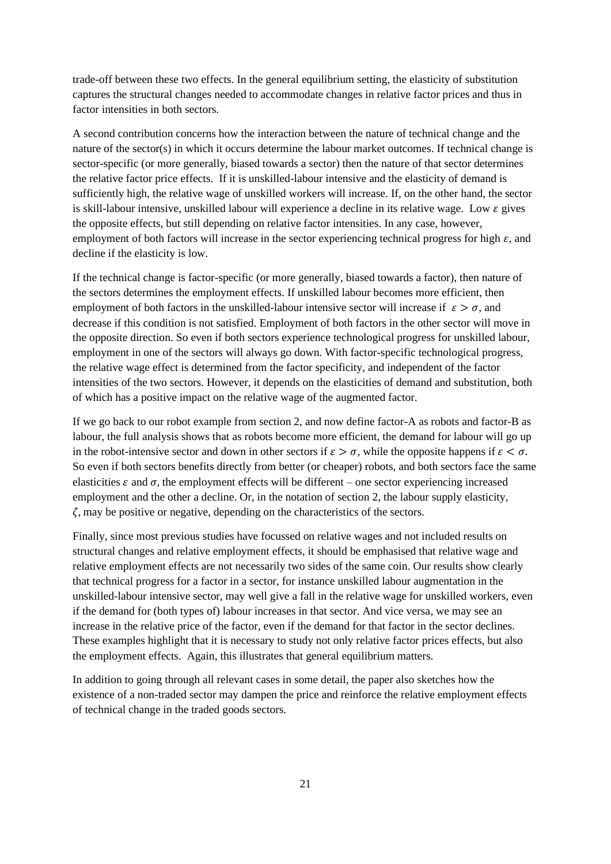trade-off between these two effects. In the general equilibrium setting, the elasticity of substitution captures the structural changes needed to accommodate changes in relative factor prices and thus in factor intensities in both sectors.

A second contribution concerns how the interaction between the nature of technical change and the nature of the sector(s) in which it occurs determine the labour market outcomes. If technical change is sector-specific (or more generally, biased towards a sector) then the nature of that sector determines the relative factor price effects. If it is unskilled-labour intensive and the elasticity of demand is sufficiently high, the relative wage of unskilled workers will increase. If, on the other hand, the sector is skill-labour intensive, unskilled labour will experience a decline in its relative wage. Low  $\varepsilon$  gives the opposite effects, but still depending on relative factor intensities. In any case, however, employment of both factors will increase in the sector experiencing technical progress for high  $\varepsilon$ , and decline if the elasticity is low.

If the technical change is factor-specific (or more generally, biased towards a factor), then nature of the sectors determines the employment effects. If unskilled labour becomes more efficient, then employment of both factors in the unskilled-labour intensive sector will increase if  $\varepsilon > \sigma$ , and decrease if this condition is not satisfied. Employment of both factors in the other sector will move in the opposite direction. So even if both sectors experience technological progress for unskilled labour, employment in one of the sectors will always go down. With factor-specific technological progress, the relative wage effect is determined from the factor specificity, and independent of the factor intensities of the two sectors. However, it depends on the elasticities of demand and substitution, both of which has a positive impact on the relative wage of the augmented factor.

If we go back to our robot example from section 2, and now define factor-A as robots and factor-B as labour, the full analysis shows that as robots become more efficient, the demand for labour will go up in the robot-intensive sector and down in other sectors if  $\varepsilon > \sigma$ , while the opposite happens if  $\varepsilon < \sigma$ . So even if both sectors benefits directly from better (or cheaper) robots, and both sectors face the same elasticities  $\varepsilon$  and  $\sigma$ , the employment effects will be different – one sector experiencing increased employment and the other a decline. Or, in the notation of section 2, the labour supply elasticity,  $\zeta$ , may be positive or negative, depending on the characteristics of the sectors.

Finally, since most previous studies have focussed on relative wages and not included results on structural changes and relative employment effects, it should be emphasised that relative wage and relative employment effects are not necessarily two sides of the same coin. Our results show clearly that technical progress for a factor in a sector, for instance unskilled labour augmentation in the unskilled-labour intensive sector, may well give a fall in the relative wage for unskilled workers, even if the demand for (both types of) labour increases in that sector. And vice versa, we may see an increase in the relative price of the factor, even if the demand for that factor in the sector declines. These examples highlight that it is necessary to study not only relative factor prices effects, but also the employment effects. Again, this illustrates that general equilibrium matters.

In addition to going through all relevant cases in some detail, the paper also sketches how the existence of a non-traded sector may dampen the price and reinforce the relative employment effects of technical change in the traded goods sectors.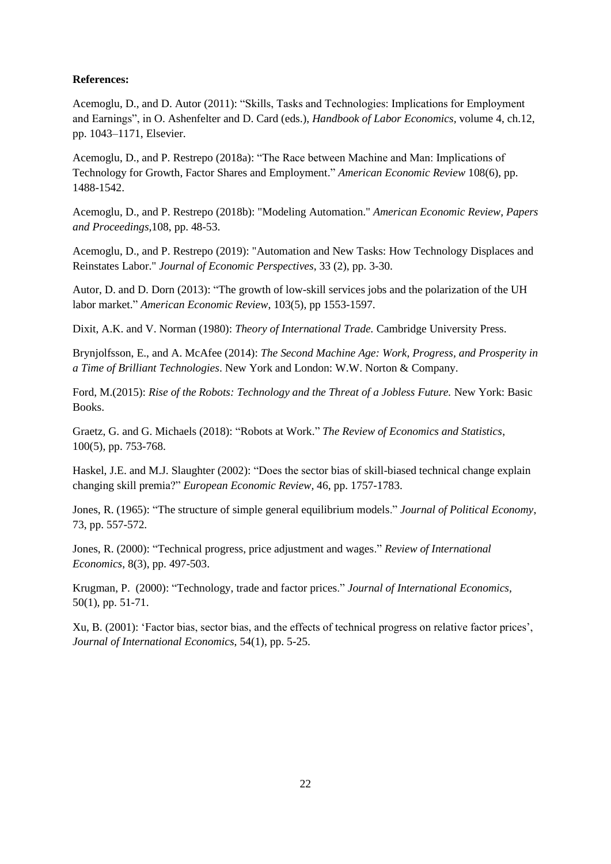# **References:**

Acemoglu, D., and D. Autor (2011): "Skills, Tasks and Technologies: Implications for Employment and Earnings", in O. Ashenfelter and D. Card (eds.), *Handbook of Labor Economics,* volume 4, ch.12, pp. 1043–1171, Elsevier.

Acemoglu, D., and P. Restrepo (2018a): "The Race between Machine and Man: Implications of Technology for Growth, Factor Shares and Employment." *American Economic Review* 108(6), pp. 1488-1542.

Acemoglu, D., and P. Restrepo (2018b): "Modeling Automation." *American Economic Review, Papers and Proceedings,*108, pp. 48-53.

Acemoglu, D., and P. Restrepo (2019): "Automation and New Tasks: How Technology Displaces and Reinstates Labor." *Journal of Economic Perspectives*, 33 (2), pp. 3-30.

Autor, D. and D. Dorn (2013): "The growth of low-skill services jobs and the polarization of the UH labor market." *American Economic Review*, 103(5), pp 1553-1597.

Dixit, A.K. and V. Norman (1980): *Theory of International Trade.* Cambridge University Press.

Brynjolfsson, E., and A. McAfee (2014): *The Second Machine Age: Work, Progress, and Prosperity in a Time of Brilliant Technologies*. New York and London: W.W. Norton & Company.

Ford, M.(2015): *Rise of the Robots: Technology and the Threat of a Jobless Future.* New York: Basic Books.

Graetz, G. and G. Michaels (2018): "Robots at Work." *The Review of Economics and Statistics*, 100(5), pp. 753-768.

Haskel, J.E. and M.J. Slaughter (2002): "Does the sector bias of skill-biased technical change explain changing skill premia?" *European Economic Review,* 46, pp. 1757-1783.

Jones, R. (1965): "The structure of simple general equilibrium models." *Journal of Political Economy*, 73, pp. 557-572.

Jones, R. (2000): "Technical progress, price adjustment and wages." *Review of International Economics*, 8(3), pp. 497-503.

Krugman, P. (2000): "Technology, trade and factor prices." *Journal of International Economics,* 50(1), pp. 51-71.

Xu, B. (2001): 'Factor bias, sector bias, and the effects of technical progress on relative factor prices', *Journal of International Economics*, 54(1), pp. 5-25.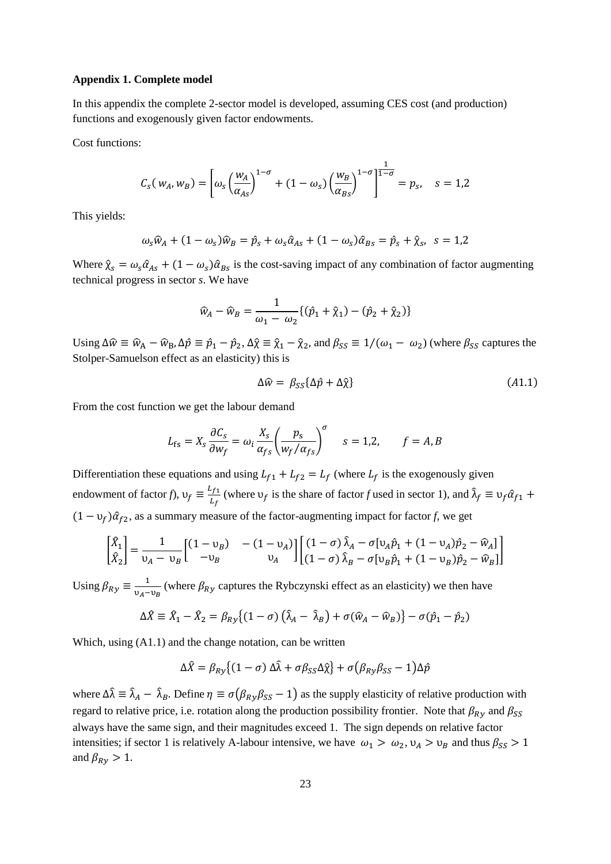## **Appendix 1. Complete model**

In this appendix the complete 2-sector model is developed, assuming CES cost (and production) functions and exogenously given factor endowments.

Cost functions:

$$
C_S(w_A, w_B) = \left[ \omega_S \left( \frac{w_A}{\alpha_{AS}} \right)^{1-\sigma} + (1-\omega_S) \left( \frac{w_B}{\alpha_{BS}} \right)^{1-\sigma} \right]^{\frac{1}{1-\sigma}} = p_S, \quad s = 1,2
$$

This yields:

$$
\omega_s \widehat{w}_A + (1 - \omega_s) \widehat{w}_B = \widehat{p}_s + \omega_s \widehat{\alpha}_{As} + (1 - \omega_s) \widehat{\alpha}_{Bs} = \widehat{p}_s + \widehat{\chi}_s, \ \ s = 1,2
$$

Where  $\hat{\chi}_s = \omega_s \hat{\alpha}_{As} + (1 - \omega_s) \hat{\alpha}_{Bs}$  is the cost-saving impact of any combination of factor augmenting technical progress in sector *s*. We have

$$
\hat{w}_A - \hat{w}_B = \frac{1}{\omega_1 - \omega_2} \{ (\hat{p}_1 + \hat{y}_1) - (\hat{p}_2 + \hat{y}_2) \}
$$

Using  $\Delta \hat{w} \equiv \hat{w}_A - \hat{w}_B$ ,  $\Delta \hat{p} \equiv \hat{p}_1 - \hat{p}_2$ ,  $\Delta \hat{\chi} \equiv \hat{\chi}_1 - \hat{\chi}_2$ , and  $\beta_{SS} \equiv 1/(\omega_1 - \omega_2)$  (where  $\beta_{SS}$  captures the Stolper-Samuelson effect as an elasticity) this is

$$
\Delta \widehat{w} = \beta_{SS} {\{\Delta \widehat{p} + \Delta \widehat{\chi}\}} \tag{A1.1}
$$

From the cost function we get the labour demand

$$
L_{\rm fs} = X_s \frac{\partial C_s}{\partial w_f} = \omega_i \frac{X_s}{\alpha_{fs}} \left( \frac{p_s}{w_f / \alpha_{fs}} \right)^{\sigma} \quad s = 1, 2, \qquad f = A, B
$$

Differentiation these equations and using  $L_{f1} + L_{f2} = L_f$  (where  $L_f$  is the exogenously given endowment of factor *f*),  $v_f \equiv \frac{L_{f1}}{L_f}$  $\frac{L_{f1}}{L_f}$  (where  $v_f$  is the share of factor *f* used in sector 1), and  $\hat{\lambda}_f \equiv v_f \hat{\alpha}_{f1} +$  $(1 - v_f)\hat{\alpha}_{f2}$ , as a summary measure of the factor-augmenting impact for factor *f*, we get

$$
\begin{bmatrix} \hat{X}_1 \\ \hat{X}_2 \end{bmatrix} = \frac{1}{\nu_A - \nu_B} \begin{bmatrix} (1 - \nu_B) & - (1 - \nu_A) \\ -\nu_B & \nu_A \end{bmatrix} \begin{bmatrix} (1 - \sigma) \hat{\lambda}_A - \sigma[\nu_A \hat{p}_1 + (1 - \nu_A) \hat{p}_2 - \hat{w}_A] \\ (1 - \sigma) \hat{\lambda}_B - \sigma[\nu_B \hat{p}_1 + (1 - \nu_B) \hat{p}_2 - \hat{w}_B] \end{bmatrix}
$$

Using  $\beta_{Ry} \equiv \frac{1}{v_1 - v_2}$  $\frac{1}{v_A - v_B}$  (where  $\beta_{Ry}$  captures the Rybczynski effect as an elasticity) we then have

$$
\Delta \hat{X} \equiv \hat{X}_1 - \hat{X}_2 = \beta_{R}(\left(1 - \sigma\right)\left(\hat{\lambda}_A - \hat{\lambda}_B\right) + \sigma(\hat{w}_A - \hat{w}_B)\} - \sigma(\hat{p}_1 - \hat{p}_2)
$$

Which, using (A1.1) and the change notation, can be written

$$
\Delta \hat{X} = \beta_{R\mathcal{Y}} \{ (1 - \sigma) \Delta \hat{\lambda} + \sigma \beta_{SS} \Delta \hat{\chi} \} + \sigma \big( \beta_{R\mathcal{Y}} \beta_{SS} - 1 \big) \Delta \hat{p}
$$

where  $\Delta \hat{\lambda} \equiv \hat{\lambda}_A - \hat{\lambda}_B$ . Define  $\eta \equiv \sigma(\beta_{Ry}\beta_{SS} - 1)$  as the supply elasticity of relative production with regard to relative price, i.e. rotation along the production possibility frontier. Note that  $\beta_{Ry}$  and  $\beta_{SS}$ always have the same sign, and their magnitudes exceed 1. The sign depends on relative factor intensities; if sector 1 is relatively A-labour intensive, we have  $\omega_1 > \omega_2$ ,  $\nu_A > \nu_B$  and thus  $\beta_{SS} > 1$ and  $\beta_{Ry} > 1$ .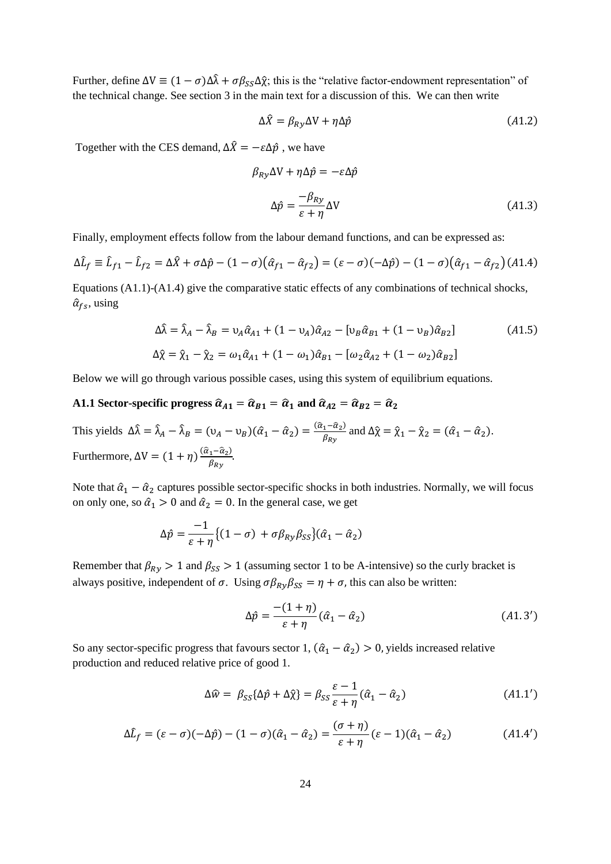Further, define  $\Delta V \equiv (1 - \sigma) \Delta \hat{\lambda} + \sigma \beta_{SS} \Delta \hat{\chi}$ ; this is the "relative factor-endowment representation" of the technical change. See section 3 in the main text for a discussion of this. We can then write

$$
\Delta \hat{X} = \beta_{Ry} \Delta V + \eta \Delta \hat{p}
$$
 (A1.2)

Together with the CES demand,  $\Delta \hat{X} = -\varepsilon \Delta \hat{p}$ , we have

$$
\beta_{Ry} \Delta V + \eta \Delta \hat{p} = -\varepsilon \Delta \hat{p}
$$
  

$$
\Delta \hat{p} = \frac{-\beta_{Ry}}{\varepsilon + \eta} \Delta V
$$
 (A1.3)

Finally, employment effects follow from the labour demand functions, and can be expressed as:

$$
\Delta \hat{L}_f \equiv \hat{L}_{f1} - \hat{L}_{f2} = \Delta \hat{X} + \sigma \Delta \hat{p} - (1 - \sigma)(\hat{\alpha}_{f1} - \hat{\alpha}_{f2}) = (\varepsilon - \sigma)(-\Delta \hat{p}) - (1 - \sigma)(\hat{\alpha}_{f1} - \hat{\alpha}_{f2}) \tag{A1.4}
$$

Equations (A1.1)-(A1.4) give the comparative static effects of any combinations of technical shocks,  $\hat{\alpha}_{fs}$ , using

$$
\Delta \hat{\lambda} = \hat{\lambda}_A - \hat{\lambda}_B = v_A \hat{\alpha}_{A1} + (1 - v_A) \hat{\alpha}_{A2} - [v_B \hat{\alpha}_{B1} + (1 - v_B) \hat{\alpha}_{B2}]
$$
\n
$$
\Delta \hat{\chi} = \hat{\chi}_1 - \hat{\chi}_2 = \omega_1 \hat{\alpha}_{A1} + (1 - \omega_1) \hat{\alpha}_{B1} - [\omega_2 \hat{\alpha}_{A2} + (1 - \omega_2) \hat{\alpha}_{B2}]
$$
\n(A1.5)

Below we will go through various possible cases, using this system of equilibrium equations.

# **A1.1** Sector-specific progress  $\hat{\alpha}_{A1} = \hat{\alpha}_{B1} = \hat{\alpha}_1$  and  $\hat{\alpha}_{A2} = \hat{\alpha}_{B2} = \hat{\alpha}_2$

This yields  $\Delta \hat{\lambda} = \hat{\lambda}_A - \hat{\lambda}_B = (v_A - v_B)(\hat{\alpha}_1 - \hat{\alpha}_2) = \frac{(\hat{\alpha}_1 - \hat{\alpha}_2)}{\hat{\beta}_{B} + \hat{\beta}_{C}}$  $\frac{1 - u_2}{\beta_{R_y}}$  and  $\Delta \hat{\chi} = \hat{\chi}_1 - \hat{\chi}_2 = (\hat{\alpha}_1 - \hat{\alpha}_2).$ Furthermore,  $\Delta V = (1 + \eta) \frac{(\hat{a}_1 - \hat{a}_2)}{g}$  $\frac{1-u_2}{\beta_{Ry}}$ .

Note that  $\hat{\alpha}_1 - \hat{\alpha}_2$  captures possible sector-specific shocks in both industries. Normally, we will focus on only one, so  $\hat{\alpha}_1 > 0$  and  $\hat{\alpha}_2 = 0$ . In the general case, we get

$$
\Delta \hat{p} = \frac{-1}{\varepsilon + \eta} \{ (1 - \sigma) + \sigma \beta_{R\gamma} \beta_{SS} \} (\hat{\alpha}_1 - \hat{\alpha}_2)
$$

Remember that  $\beta_{Rv} > 1$  and  $\beta_{SS} > 1$  (assuming sector 1 to be A-intensive) so the curly bracket is always positive, independent of  $\sigma$ . Using  $\sigma \beta_{Ry} \beta_{SS} = \eta + \sigma$ , this can also be written:

$$
\Delta \hat{p} = \frac{-(1+\eta)}{\varepsilon + \eta} (\hat{\alpha}_1 - \hat{\alpha}_2) \tag{A1.3'}
$$

So any sector-specific progress that favours sector 1,  $(\hat{\alpha}_1 - \hat{\alpha}_2) > 0$ , yields increased relative production and reduced relative price of good 1.

$$
\Delta \hat{w} = \beta_{SS} {\{\Delta \hat{p} + \Delta \hat{\chi}\}} = \beta_{SS} {\varepsilon - 1 \over \varepsilon + \eta} (\hat{\alpha}_1 - \hat{\alpha}_2)
$$
 (A1.1')

$$
\Delta \hat{L}_f = (\varepsilon - \sigma)(-\Delta \hat{p}) - (1 - \sigma)(\hat{\alpha}_1 - \hat{\alpha}_2) = \frac{(\sigma + \eta)}{\varepsilon + \eta} (\varepsilon - 1)(\hat{\alpha}_1 - \hat{\alpha}_2)
$$
(A1.4')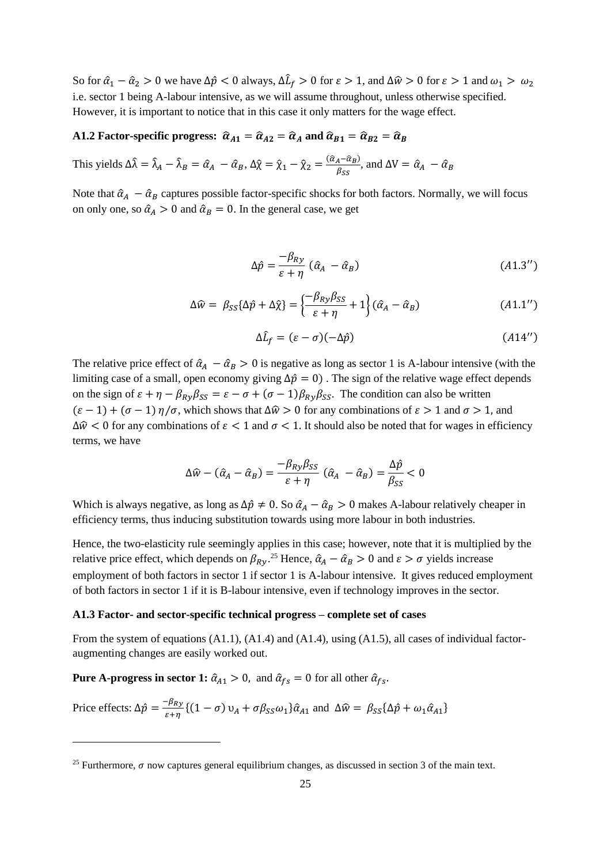So for  $\hat{a}_1 - \hat{a}_2 > 0$  we have  $\Delta \hat{p} < 0$  always,  $\Delta \hat{L}_f > 0$  for  $\varepsilon > 1$ , and  $\Delta \hat{w} > 0$  for  $\varepsilon > 1$  and  $\omega_1 > \omega_2$ i.e. sector 1 being A-labour intensive, as we will assume throughout, unless otherwise specified. However, it is important to notice that in this case it only matters for the wage effect.

# A1.2 Factor-specific progress:  $\hat{\alpha}_{A1} = \hat{\alpha}_{A2} = \hat{\alpha}_A$  and  $\hat{\alpha}_{B1} = \hat{\alpha}_{B2} = \hat{\alpha}_B$

This yields  $\Delta \hat{\lambda} = \hat{\lambda}_A - \hat{\lambda}_B = \hat{\alpha}_A - \hat{\alpha}_B$ ,  $\Delta \hat{\chi} = \hat{\chi}_1 - \hat{\chi}_2 = \frac{(\hat{\alpha}_A - \hat{\alpha}_B)}{\hat{\beta}_{CC}}$  $\frac{\hat{A} - \hat{\alpha}_B}{\beta_{SS}}$ , and  $\Delta V = \hat{\alpha}_A - \hat{\alpha}_B$ 

Note that  $\hat{\alpha}_A - \hat{\alpha}_B$  captures possible factor-specific shocks for both factors. Normally, we will focus on only one, so  $\hat{\alpha}_A > 0$  and  $\hat{\alpha}_B = 0$ . In the general case, we get

$$
\Delta \hat{p} = \frac{-\beta_{Ry}}{\varepsilon + \eta} \left( \hat{\alpha}_A - \hat{\alpha}_B \right) \tag{A1.3'}
$$

$$
\Delta \hat{w} = \beta_{SS} \{ \Delta \hat{p} + \Delta \hat{\chi} \} = \left\{ \frac{-\beta_{R\gamma} \beta_{SS}}{\varepsilon + \eta} + 1 \right\} (\hat{\alpha}_A - \hat{\alpha}_B)
$$
(A1.1'')

$$
\Delta \hat{L}_f = (\varepsilon - \sigma)(-\Delta \hat{p}) \tag{A14'}
$$

The relative price effect of  $\hat{\alpha}_A - \hat{\alpha}_B > 0$  is negative as long as sector 1 is A-labour intensive (with the limiting case of a small, open economy giving  $\Delta \hat{p} = 0$ ). The sign of the relative wage effect depends on the sign of  $\varepsilon + \eta - \beta_{Ry}\beta_{SS} = \varepsilon - \sigma + (\sigma - 1)\beta_{Ry}\beta_{SS}$ . The condition can also be written  $(\varepsilon - 1) + (\sigma - 1) \eta / \sigma$ , which shows that  $\Delta \hat{w} > 0$  for any combinations of  $\varepsilon > 1$  and  $\sigma > 1$ , and  $\Delta\hat{w}$  < 0 for any combinations of  $\epsilon$  < 1 and  $\sigma$  < 1. It should also be noted that for wages in efficiency terms, we have

$$
\Delta \widehat{w} - (\widehat{\alpha}_A - \widehat{\alpha}_B) = \frac{-\beta_{R\mathbf{y}}\beta_{SS}}{\varepsilon + \eta} (\widehat{\alpha}_A - \widehat{\alpha}_B) = \frac{\Delta \widehat{p}}{\beta_{SS}} < 0
$$

Which is always negative, as long as  $\Delta \hat{p} \neq 0$ . So  $\hat{\alpha}_A - \hat{\alpha}_B > 0$  makes A-labour relatively cheaper in efficiency terms, thus inducing substitution towards using more labour in both industries.

Hence, the two-elasticity rule seemingly applies in this case; however, note that it is multiplied by the relative price effect, which depends on  $\beta_{Ry}$ .<sup>25</sup> Hence,  $\hat{\alpha}_A - \hat{\alpha}_B > 0$  and  $\varepsilon > \sigma$  yields increase employment of both factors in sector 1 if sector 1 is A-labour intensive. It gives reduced employment of both factors in sector 1 if it is B-labour intensive, even if technology improves in the sector.

#### **A1.3 Factor- and sector-specific technical progress – complete set of cases**

From the system of equations (A1.1), (A1.4) and (A1.4), using (A1.5), all cases of individual factoraugmenting changes are easily worked out.

**Pure A-progress in sector 1:**  $\hat{\alpha}_{A1} > 0$ , and  $\hat{\alpha}_{fs} = 0$  for all other  $\hat{\alpha}_{fs}$ .

Price effects: 
$$
\Delta \hat{p} = \frac{-\beta_{Ry}}{\varepsilon + \eta} \{ (1 - \sigma) v_A + \sigma \beta_{SS} \omega_1 \} \hat{\alpha}_{A1}
$$
 and  $\Delta \hat{w} = \beta_{SS} \{ \Delta \hat{p} + \omega_1 \hat{\alpha}_{A1} \}$ 

<sup>&</sup>lt;sup>25</sup> Furthermore,  $\sigma$  now captures general equilibrium changes, as discussed in section 3 of the main text.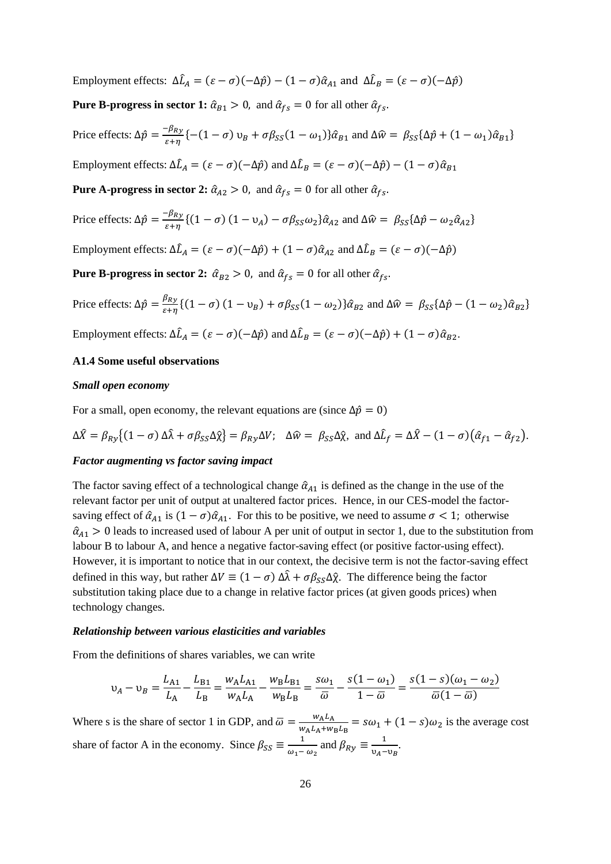Employment effects:  $\Delta \hat{L}_A = (\varepsilon - \sigma)(-\Delta \hat{p}) - (1 - \sigma)\hat{\alpha}_{A1}$  and  $\Delta \hat{L}_B = (\varepsilon - \sigma)(-\Delta \hat{p})$ 

**Pure B-progress in sector 1:**  $\hat{\alpha}_{B1} > 0$ , and  $\hat{\alpha}_{fs} = 0$  for all other  $\hat{\alpha}_{fs}$ .

Price effects:  $\Delta \hat{p} = \frac{-\beta_{Ry}}{g/m}$  $\frac{\partial \mu_{xy}}{\partial \epsilon + \eta}$  { - (1 -  $\sigma$ )  $v_B + \sigma \beta_{SS} (1 - \omega_1) \hat{\alpha}_{B1}$  and  $\Delta \hat{w} = \beta_{SS} {\Delta \hat{p} + (1 - \omega_1) \hat{\alpha}_{B1}}$ Employment effects:  $\Delta \hat{L}_A = (\varepsilon - \sigma)(-\Delta \hat{p})$  and  $\Delta \hat{L}_B = (\varepsilon - \sigma)(-\Delta \hat{p}) - (1 - \sigma)\hat{\alpha}_{B1}$ **Pure A-progress in sector 2:**  $\hat{\alpha}_{A2} > 0$ , and  $\hat{\alpha}_{fs} = 0$  for all other  $\hat{\alpha}_{fs}$ . Price effects:  $\Delta \hat{p} = \frac{-\beta_{Ry}}{g/m}$  $\frac{\mu_{R}y}{\epsilon + \eta}$  {(1 –  $\sigma$ ) (1 –  $v_A$ ) –  $\sigma \beta_{SS} \omega_2$ } $\hat{\alpha}_{A2}$  and  $\Delta \hat{w} = \beta_{SS} {\Delta \hat{p} - \omega_2 \hat{\alpha}_{A2}}$ } Employment effects:  $\Delta \hat{L}_A = (\varepsilon - \sigma)(-\Delta \hat{p}) + (1 - \sigma)\hat{\alpha}_{A2}$  and  $\Delta \hat{L}_B = (\varepsilon - \sigma)(-\Delta \hat{p})$ **Pure B-progress in sector 2:**  $\hat{\alpha}_{B2} > 0$ , and  $\hat{\alpha}_{fs} = 0$  for all other  $\hat{\alpha}_{fs}$ .

Price effects:  $\Delta \hat{p} = \frac{\beta_{Ry}}{s}$  $\frac{\partial R y}{\partial \epsilon + \eta}$  {(1 –  $\sigma$ ) (1 –  $v_B$ ) +  $\sigma \beta_{SS}$ (1 –  $\omega_2$ )} $\hat{\alpha}_{B2}$  and  $\Delta \hat{w} = \beta_{SS}$ { $\Delta \hat{p}$  – (1 –  $\omega_2$ ) $\hat{\alpha}_{B2}$ } Employment effects:  $\Delta \hat{L}_A = (\varepsilon - \sigma)(-\Delta \hat{p})$  and  $\Delta \hat{L}_B = (\varepsilon - \sigma)(-\Delta \hat{p}) + (1 - \sigma)\hat{\alpha}_{B2}$ .

# **A1.4 Some useful observations**

#### *Small open economy*

For a small, open economy, the relevant equations are (since  $\Delta \hat{p} = 0$ )

$$
\Delta \hat{X} = \beta_{R\mathcal{Y}} \{ (1 - \sigma) \Delta \hat{\lambda} + \sigma \beta_{SS} \Delta \hat{\chi} \} = \beta_{R\mathcal{Y}} \Delta V; \quad \Delta \hat{w} = \beta_{SS} \Delta \hat{\chi}, \text{ and } \Delta \hat{L}_f = \Delta \hat{X} - (1 - \sigma) (\hat{\alpha}_{f1} - \hat{\alpha}_{f2}).
$$

#### *Factor augmenting vs factor saving impact*

The factor saving effect of a technological change  $\hat{\alpha}_{A1}$  is defined as the change in the use of the relevant factor per unit of output at unaltered factor prices. Hence, in our CES-model the factorsaving effect of  $\hat{\alpha}_{A1}$  is  $(1 - \sigma)\hat{\alpha}_{A1}$ . For this to be positive, we need to assume  $\sigma < 1$ ; otherwise  $\hat{a}_{41} > 0$  leads to increased used of labour A per unit of output in sector 1, due to the substitution from labour B to labour A, and hence a negative factor-saving effect (or positive factor-using effect). However, it is important to notice that in our context, the decisive term is not the factor-saving effect defined in this way, but rather  $\Delta V \equiv (1 - \sigma) \Delta \hat{\lambda} + \sigma \beta_{SS} \Delta \hat{\chi}$ . The difference being the factor substitution taking place due to a change in relative factor prices (at given goods prices) when technology changes.

#### *Relationship between various elasticities and variables*

From the definitions of shares variables, we can write

$$
\upsilon_A - \upsilon_B = \frac{L_{A1}}{L_A} - \frac{L_{B1}}{L_B} = \frac{w_A L_{A1}}{w_A L_A} - \frac{w_B L_{B1}}{w_B L_B} = \frac{s\omega_1}{\overline{\omega}} - \frac{s(1-\omega_1)}{1-\overline{\omega}} = \frac{s(1-s)(\omega_1 - \omega_2)}{\overline{\omega}(1-\overline{\omega})}
$$

Where s is the share of sector 1 in GDP, and  $\overline{\omega} = \frac{w_A L_A}{w_A L_A}$  $\frac{W_A L_A}{W_A L_A + W_B L_B} = s\omega_1 + (1 - s)\omega_2$  is the average cost share of factor A in the economy. Since  $\beta_{SS} \equiv \frac{1}{\omega_{\text{tot}}}$  $\frac{1}{\omega_1 - \omega_2}$  and  $\beta_{Ry} \equiv \frac{1}{v_A - \omega_2}$  $\frac{1}{v_A - v_B}$ .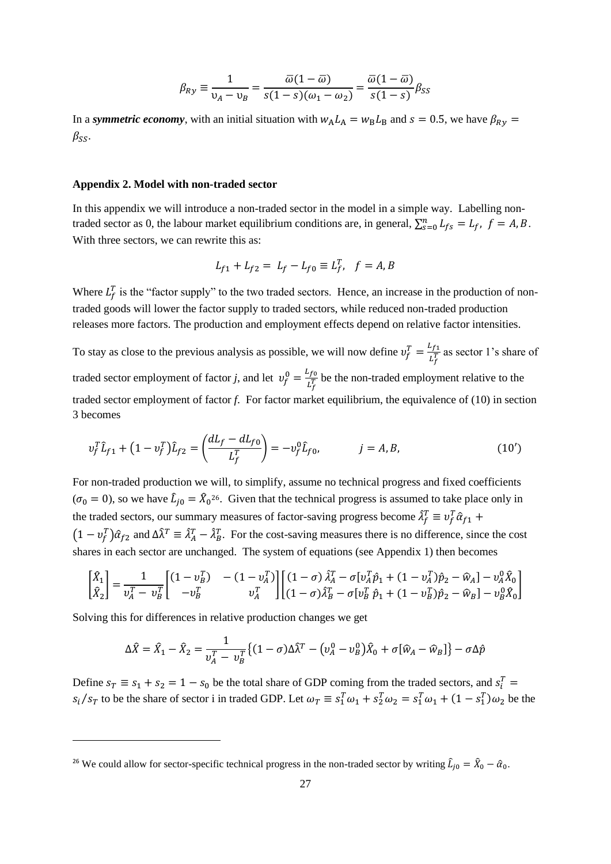$$
\beta_{Ry} \equiv \frac{1}{v_A - v_B} = \frac{\overline{\omega}(1 - \overline{\omega})}{s(1 - s)(\omega_1 - \omega_2)} = \frac{\overline{\omega}(1 - \overline{\omega})}{s(1 - s)} \beta_{SS}
$$

In a *symmetric economy*, with an initial situation with  $w_A L_A = w_B L_B$  and  $s = 0.5$ , we have  $\beta_{Ry} =$  $\beta_{SS}$ .

# **Appendix 2. Model with non-traded sector**

In this appendix we will introduce a non-traded sector in the model in a simple way. Labelling nontraded sector as 0, the labour market equilibrium conditions are, in general,  $\sum_{s=0}^{n} L_{fs} = L_f$ ,  $f = A, B$ . With three sectors, we can rewrite this as:

$$
L_{f1} + L_{f2} = L_f - L_{f0} \equiv L_f^T, \quad f = A, B
$$

Where  $L_f^T$  is the "factor supply" to the two traded sectors. Hence, an increase in the production of nontraded goods will lower the factor supply to traded sectors, while reduced non-traded production releases more factors. The production and employment effects depend on relative factor intensities.

To stay as close to the previous analysis as possible, we will now define  $v_f^T = \frac{L_{f1}}{L_s^T}$  $\frac{df_1}{L_f^T}$  as sector 1's share of traded sector employment of factor *j*, and let  $v_f^0 = \frac{L_{fo}}{L_s^T}$  $\frac{df_0}{L_f^T}$  be the non-traded employment relative to the traded sector employment of factor *f*. For factor market equilibrium, the equivalence of (10) in section 3 becomes

$$
v_f^T \hat{L}_{f1} + (1 - v_f^T) \hat{L}_{f2} = \left(\frac{dL_f - dL_{f0}}{L_f^T}\right) = -v_f^0 \hat{L}_{f0}, \qquad j = A, B,
$$
 (10')

For non-traded production we will, to simplify, assume no technical progress and fixed coefficients  $(\sigma_0 = 0)$ , so we have  $\hat{L}_{j0} = \hat{X}_0^{26}$ . Given that the technical progress is assumed to take place only in the traded sectors, our summary measures of factor-saving progress become  $\hat{\lambda}_f^T \equiv v_f^T \hat{\alpha}_{f1}$  +  $(1 - v_f^T)\hat{\alpha}_{f2}$  and  $\Delta \hat{\lambda}^T \equiv \hat{\lambda}_A^T - \hat{\lambda}_B^T$ . For the cost-saving measures there is no difference, since the cost shares in each sector are unchanged. The system of equations (see Appendix 1) then becomes

$$
\begin{bmatrix} \hat{X}_1 \\ \hat{X}_2 \end{bmatrix} = \frac{1}{v_A^T - v_B^T} \begin{bmatrix} (1 - v_B^T) & - (1 - v_A^T) \\ -v_B^T & v_A^T \end{bmatrix} \begin{bmatrix} (1 - \sigma) \hat{\lambda}_A^T - \sigma [v_A^T \hat{p}_1 + (1 - v_A^T) \hat{p}_2 - \hat{w}_A] - v_A^0 \hat{X}_0 \\ (1 - \sigma) \hat{\lambda}_B^T - \sigma [v_B^T \hat{p}_1 + (1 - v_B^T) \hat{p}_2 - \hat{w}_B] - v_B^0 \hat{X}_0 \end{bmatrix}
$$

Solving this for differences in relative production changes we get

$$
\Delta \hat{X} = \hat{X}_1 - \hat{X}_2 = \frac{1}{\nu_A^T - \nu_B^T} \{ (1 - \sigma) \Delta \hat{\lambda}^T - (\nu_A^0 - \nu_B^0) \hat{X}_0 + \sigma [\hat{w}_A - \hat{w}_B] \} - \sigma \Delta \hat{p}
$$

Define  $s_T \equiv s_1 + s_2 = 1 - s_0$  be the total share of GDP coming from the traded sectors, and  $s_i^T =$  $s_i/s_T$  to be the share of sector i in traded GDP. Let  $\omega_T \equiv s_1^T \omega_1 + s_2^T \omega_2 = s_1^T \omega_1 + (1 - s_1^T) \omega_2$  be the

<sup>&</sup>lt;sup>26</sup> We could allow for sector-specific technical progress in the non-traded sector by writing  $\hat{L}_{j0} = \hat{X}_0 - \hat{\alpha}_0$ .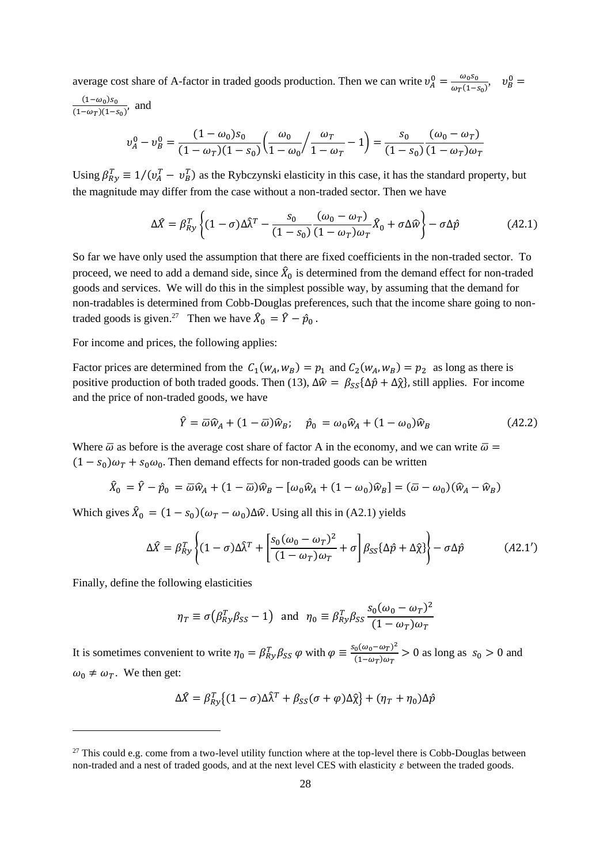average cost share of A-factor in traded goods production. Then we can write  $v_A^0 = \frac{\omega_0 s_0}{\omega_0 (1 - \omega_0)}$  $\frac{\omega_0 s_0}{\omega_T (1-s_0)}, \quad v_B^0 =$ 

 $(1-\omega_0)s_0$  $\frac{(1-\omega_0)s_0}{(1-\omega_T)(1-s_0)}$ , and

$$
v_A^0 - v_B^0 = \frac{(1 - \omega_0)s_0}{(1 - \omega_T)(1 - s_0)} \left(\frac{\omega_0}{1 - \omega_0} / \frac{\omega_T}{1 - \omega_T} - 1\right) = \frac{s_0}{(1 - s_0)} \frac{(\omega_0 - \omega_T)}{(1 - \omega_T)\omega_T}
$$

Using  $\beta_{Ry}^T \equiv 1/(v_A^T - v_B^T)$  as the Rybczynski elasticity in this case, it has the standard property, but the magnitude may differ from the case without a non-traded sector. Then we have

$$
\Delta \hat{X} = \beta_{Ry}^T \left\{ (1 - \sigma) \Delta \hat{\lambda}^T - \frac{s_0}{(1 - s_0)} \frac{(\omega_0 - \omega_T)}{(1 - \omega_T)\omega_T} \hat{X}_0 + \sigma \Delta \hat{w} \right\} - \sigma \Delta \hat{p}
$$
(A2.1)

So far we have only used the assumption that there are fixed coefficients in the non-traded sector. To proceed, we need to add a demand side, since  $\hat{X}_0$  is determined from the demand effect for non-traded goods and services. We will do this in the simplest possible way, by assuming that the demand for non-tradables is determined from Cobb-Douglas preferences, such that the income share going to nontraded goods is given.<sup>27</sup> Then we have  $\hat{X}_0 = \hat{Y} - \hat{p}_0$ .

For income and prices, the following applies:

Factor prices are determined from the  $C_1(w_A, w_B) = p_1$  and  $C_2(w_A, w_B) = p_2$  as long as there is positive production of both traded goods. Then (13),  $\Delta \hat{w} = \beta_{SS} {\Delta \hat{p} + \Delta \hat{\chi}}$ , still applies. For income and the price of non-traded goods, we have

$$
\hat{Y} = \overline{\omega}\hat{w}_A + (1 - \overline{\omega})\hat{w}_B; \quad \hat{p}_0 = \omega_0 \hat{w}_A + (1 - \omega_0)\hat{w}_B \tag{A2.2}
$$

Where  $\bar{\omega}$  as before is the average cost share of factor A in the economy, and we can write  $\bar{\omega}$  =  $(1 - s_0)\omega_T + s_0\omega_0$ . Then demand effects for non-traded goods can be written

$$
\hat{X}_0 = \hat{Y} - \hat{p}_0 = \overline{\omega}\hat{w}_A + (1 - \overline{\omega})\hat{w}_B - [\omega_0\hat{w}_A + (1 - \omega_0)\hat{w}_B] = (\overline{\omega} - \omega_0)(\hat{w}_A - \hat{w}_B)
$$

Which gives  $\hat{X}_0 = (1 - s_0)(\omega_T - \omega_0) \Delta \hat{w}$ . Using all this in (A2.1) yields

$$
\Delta \hat{X} = \beta_{Ry}^T \left\{ (1 - \sigma) \Delta \hat{\lambda}^T + \left[ \frac{s_0 (\omega_0 - \omega_T)^2}{(1 - \omega_T) \omega_T} + \sigma \right] \beta_{SS} \{\Delta \hat{p} + \Delta \hat{\chi} \} \right\} - \sigma \Delta \hat{p}
$$
(A2.1')

Finally, define the following elasticities

$$
\eta_T \equiv \sigma(\beta_{Ry}^T \beta_{SS} - 1) \text{ and } \eta_0 \equiv \beta_{Ry}^T \beta_{SS} \frac{s_0 (\omega_0 - \omega_T)^2}{(1 - \omega_T) \omega_T}
$$

It is sometimes convenient to write  $\eta_0 = \beta_{Ry}^T \beta_{SS} \varphi$  with  $\varphi \equiv \frac{s_0(\omega_0 - \omega_T)^2}{(1 - \omega_T)\omega_T}$  $\frac{6(\omega_0 - \omega_T)}{(1 - \omega_T)\omega_T} > 0$  as long as  $s_0 > 0$  and  $\omega_0 \neq \omega_T$ . We then get:

$$
\Delta \hat{X} = \beta_{R\mathbf{y}}^T \{ (1 - \sigma) \Delta \hat{\lambda}^T + \beta_{SS} (\sigma + \varphi) \Delta \hat{\chi} \} + (\eta_T + \eta_0) \Delta \hat{p}
$$

 $27$  This could e.g. come from a two-level utility function where at the top-level there is Cobb-Douglas between non-traded and a nest of traded goods, and at the next level CES with elasticity  $\varepsilon$  between the traded goods.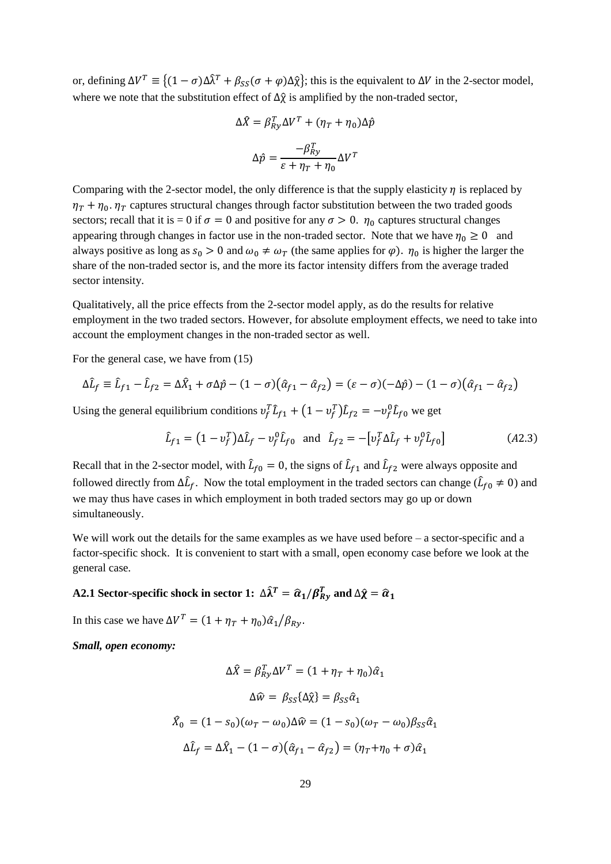or, defining  $\Delta V^T \equiv \{(1 - \sigma)\Delta \hat{\lambda}^T + \beta_{SS}(\sigma + \varphi)\Delta \hat{\chi}\}\)$ ; this is the equivalent to  $\Delta V$  in the 2-sector model, where we note that the substitution effect of  $\Delta \hat{\chi}$  is amplified by the non-traded sector,

$$
\Delta \hat{X} = \beta_{Ry}^T \Delta V^T + (\eta_T + \eta_0) \Delta \hat{p}
$$

$$
\Delta \hat{p} = \frac{-\beta_{Ry}^T}{\varepsilon + \eta_T + \eta_0} \Delta V^T
$$

Comparing with the 2-sector model, the only difference is that the supply elasticity  $\eta$  is replaced by  $\eta_T + \eta_0$ .  $\eta_T$  captures structural changes through factor substitution between the two traded goods sectors; recall that it is = 0 if  $\sigma = 0$  and positive for any  $\sigma > 0$ .  $\eta_0$  captures structural changes appearing through changes in factor use in the non-traded sector. Note that we have  $\eta_0 \ge 0$  and always positive as long as  $s_0 > 0$  and  $\omega_0 \neq \omega_T$  (the same applies for  $\varphi$ ).  $\eta_0$  is higher the larger the share of the non-traded sector is, and the more its factor intensity differs from the average traded sector intensity.

Qualitatively, all the price effects from the 2-sector model apply, as do the results for relative employment in the two traded sectors. However, for absolute employment effects, we need to take into account the employment changes in the non-traded sector as well.

For the general case, we have from (15)

$$
\Delta \hat{L}_f \equiv \hat{L}_{f1} - \hat{L}_{f2} = \Delta \hat{X}_1 + \sigma \Delta \hat{p} - (1 - \sigma)(\hat{\alpha}_{f1} - \hat{\alpha}_{f2}) = (\varepsilon - \sigma)(-\Delta \hat{p}) - (1 - \sigma)(\hat{\alpha}_{f1} - \hat{\alpha}_{f2})
$$

Using the general equilibrium conditions  $v_f^T \hat{L}_{f1} + (1 - v_f^T) \hat{L}_{f2} = -v_f^0 \hat{L}_{f0}$  we get

$$
\hat{L}_{f1} = (1 - v_f^T) \Delta \hat{L}_f - v_f^0 \hat{L}_{f0} \text{ and } \hat{L}_{f2} = -[v_f^T \Delta \hat{L}_f + v_f^0 \hat{L}_{f0}]
$$
\n(A2.3)

Recall that in the 2-sector model, with  $\hat{L}_{f0} = 0$ , the signs of  $\hat{L}_{f1}$  and  $\hat{L}_{f2}$  were always opposite and followed directly from  $\Delta \hat{L}_f$ . Now the total employment in the traded sectors can change ( $\hat{L}_{f0} \neq 0$ ) and we may thus have cases in which employment in both traded sectors may go up or down simultaneously.

We will work out the details for the same examples as we have used before – a sector-specific and a factor-specific shock. It is convenient to start with a small, open economy case before we look at the general case.

# A2.1 Sector-specific shock in sector 1:  $\Delta \hat{\lambda}^T = \widehat{\alpha}_1/\beta_{Ry}^T$  and  $\Delta \hat{\chi} = \widehat{\alpha}_1$

In this case we have  $\Delta V^T = (1 + \eta_T + \eta_0)\hat{\alpha}_1/\beta_{Ry}$ .

*Small, open economy:* 

$$
\Delta \hat{X} = \beta_{Ry}^T \Delta V^T = (1 + \eta_T + \eta_0) \hat{\alpha}_1
$$

$$
\Delta \hat{w} = \beta_{SS} \{\Delta \hat{\chi}\} = \beta_{SS} \hat{\alpha}_1
$$

$$
\hat{X}_0 = (1 - s_0)(\omega_T - \omega_0) \Delta \hat{w} = (1 - s_0)(\omega_T - \omega_0) \beta_{SS} \hat{\alpha}_1
$$

$$
\Delta \hat{L}_f = \Delta \hat{X}_1 - (1 - \sigma)(\hat{\alpha}_{f1} - \hat{\alpha}_{f2}) = (\eta_T + \eta_0 + \sigma)\hat{\alpha}_1
$$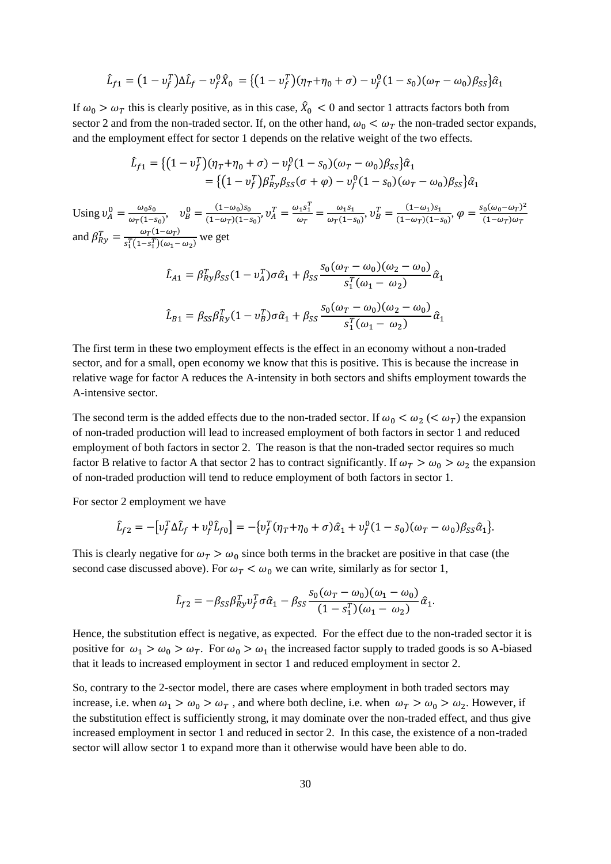$$
\hat{L}_{f1} = (1 - v_f^T)\Delta \hat{L}_f - v_f^0 \hat{X}_0 = \{ (1 - v_f^T)(\eta_T + \eta_0 + \sigma) - v_f^0 (1 - s_0)(\omega_T - \omega_0) \beta_{SS} \} \hat{\alpha}_1
$$

If  $\omega_0 > \omega_T$  this is clearly positive, as in this case,  $\hat{X}_0 < 0$  and sector 1 attracts factors both from sector 2 and from the non-traded sector. If, on the other hand,  $\omega_0 < \omega_T$  the non-traded sector expands, and the employment effect for sector 1 depends on the relative weight of the two effects.

$$
\hat{L}_{f1} = \{ (1 - v_f^T)(\eta_T + \eta_0 + \sigma) - v_f^0 (1 - s_0)(\omega_T - \omega_0) \beta_{SS} \} \hat{\alpha}_1 \n= \{ (1 - v_f^T) \beta_{Ry}^T \beta_{SS} (\sigma + \varphi) - v_f^0 (1 - s_0)(\omega_T - \omega_0) \beta_{SS} \} \hat{\alpha}_1
$$

Using  $v_A^0 = \frac{\omega_0 s_0}{\omega \pi (1 - \omega_0)}$  $\frac{\omega_0 s_0}{\omega_T (1-s_0)}, \quad v_B^0 = \frac{(1-\omega_0)s_0}{(1-\omega_T)(1-s_0)}$  $\frac{(1-\omega_0)s_0}{(1-\omega_T)(1-s_0)}, v_A^T = \frac{\omega_1 s_1^T}{\omega_T}$  $\frac{\omega_1 s_1^l}{\omega_T} = \frac{\omega_1 s_1}{\omega_T (1-s)}$  $\frac{\omega_1 s_1}{\omega_T (1-s_0)}, v_B^T = \frac{(1-\omega_1) s_1}{(1-\omega_T)(1-s_1)}$  $\frac{(1-\omega_1)s_1}{(1-\omega_T)(1-s_0)}, \varphi = \frac{s_0(\omega_0-\omega_T)^2}{(1-\omega_T)\omega_T}$  $(1-\omega_T)\omega_T$ and  $\beta_{Ry}^T = \frac{\omega_T (1 - \omega_T)}{S(T(1 - S^T)) (\omega_T - \omega_T)}$  $\frac{\omega_T(1-\omega_T)}{s_1^T(1-s_1^T)(\omega_1-\omega_2)}$  we get

$$
\hat{L}_{A1} = \beta_{Ry}^T \beta_{SS} (1 - v_A^T) \sigma \hat{\alpha}_1 + \beta_{SS} \frac{s_0 (\omega_T - \omega_0)(\omega_2 - \omega_0)}{s_1^T (\omega_1 - \omega_2)} \hat{\alpha}_1
$$
\n
$$
\hat{L}_{B1} = \beta_{SS} \beta_{Ry}^T (1 - v_B^T) \sigma \hat{\alpha}_1 + \beta_{SS} \frac{s_0 (\omega_T - \omega_0)(\omega_2 - \omega_0)}{s_1^T (\omega_1 - \omega_2)} \hat{\alpha}_1
$$

The first term in these two employment effects is the effect in an economy without a non-traded sector, and for a small, open economy we know that this is positive. This is because the increase in relative wage for factor A reduces the A-intensity in both sectors and shifts employment towards the A-intensive sector.

The second term is the added effects due to the non-traded sector. If  $\omega_0 < \omega_2$  ( $\omega_T$ ) the expansion of non-traded production will lead to increased employment of both factors in sector 1 and reduced employment of both factors in sector 2. The reason is that the non-traded sector requires so much factor B relative to factor A that sector 2 has to contract significantly. If  $\omega_T > \omega_0 > \omega_2$  the expansion of non-traded production will tend to reduce employment of both factors in sector 1.

For sector 2 employment we have

$$
\hat{L}_{f2} = -[v_f^T \Delta \hat{L}_f + v_f^0 \hat{L}_{f0}] = -\{v_f^T (\eta_T + \eta_0 + \sigma) \hat{\alpha}_1 + v_f^0 (1 - s_0) (\omega_T - \omega_0) \beta_{SS} \hat{\alpha}_1\}.
$$

This is clearly negative for  $\omega_T > \omega_0$  since both terms in the bracket are positive in that case (the second case discussed above). For  $\omega_T < \omega_0$  we can write, similarly as for sector 1,

$$
\hat{L}_{f2} = -\beta_{SS} \beta_{Ry}^T v_f^T \sigma \hat{\alpha}_1 - \beta_{SS} \frac{s_0(\omega_T - \omega_0)(\omega_1 - \omega_0)}{(1 - s_1^T)(\omega_1 - \omega_2)} \hat{\alpha}_1.
$$

Hence, the substitution effect is negative, as expected. For the effect due to the non-traded sector it is positive for  $\omega_1 > \omega_0 > \omega_T$ . For  $\omega_0 > \omega_1$  the increased factor supply to traded goods is so A-biased that it leads to increased employment in sector 1 and reduced employment in sector 2.

So, contrary to the 2-sector model, there are cases where employment in both traded sectors may increase, i.e. when  $\omega_1 > \omega_0 > \omega_T$ , and where both decline, i.e. when  $\omega_T > \omega_0 > \omega_2$ . However, if the substitution effect is sufficiently strong, it may dominate over the non-traded effect, and thus give increased employment in sector 1 and reduced in sector 2. In this case, the existence of a non-traded sector will allow sector 1 to expand more than it otherwise would have been able to do.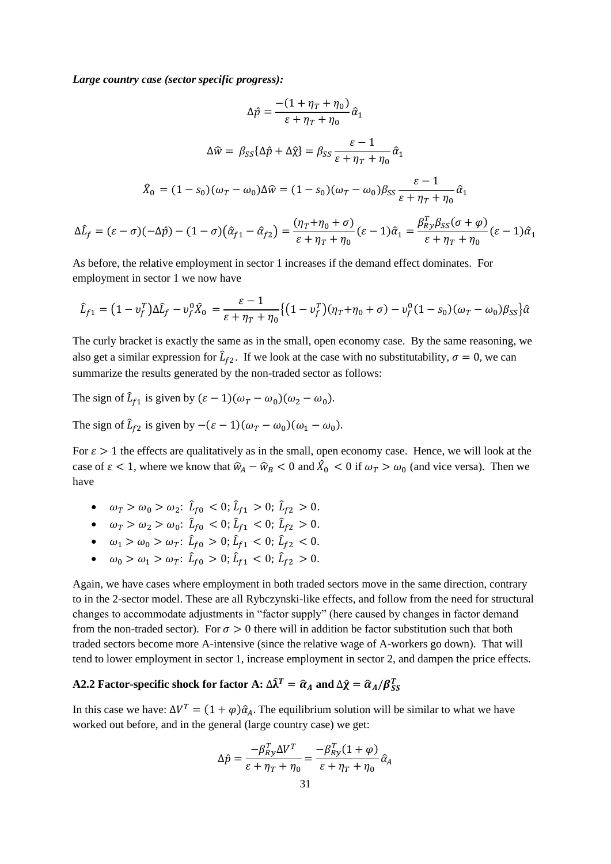*Large country case (sector specific progress):*

$$
\Delta \hat{p} = \frac{-(1 + \eta_T + \eta_0)}{\varepsilon + \eta_T + \eta_0} \hat{\alpha}_1
$$

$$
\Delta \hat{w} = \beta_{SS} {\{\Delta \hat{p} + \Delta \hat{\chi}\}} = \beta_{SS} \frac{\varepsilon - 1}{\varepsilon + \eta_T + \eta_0} \hat{\alpha}_1
$$

$$
\hat{X}_0 = (1 - s_0)(\omega_T - \omega_0) \Delta \hat{w} = (1 - s_0)(\omega_T - \omega_0) \beta_{SS} \frac{\varepsilon - 1}{\varepsilon + \eta_T + \eta_0} \hat{\alpha}_1
$$

$$
\Delta \hat{L}_f = (\varepsilon - \sigma)(-\Delta \hat{p}) - (1 - \sigma)(\hat{\alpha}_{f1} - \hat{\alpha}_{f2}) = \frac{(\eta_T + \eta_0 + \sigma)}{\varepsilon + \eta_T + \eta_0} (\varepsilon - 1) \hat{\alpha}_1 = \frac{\beta_{RY}^T \beta_{SS} (\sigma + \varphi)}{\varepsilon + \eta_T + \eta_0} (\varepsilon - 1) \hat{\alpha}_1
$$

As before, the relative employment in sector 1 increases if the demand effect dominates. For employment in sector 1 we now have

$$
\hat{L}_{f1} = (1 - v_f^T)\Delta \hat{L}_f - v_f^0 \hat{X}_0 = \frac{\varepsilon - 1}{\varepsilon + \eta_T + \eta_0} \{ (1 - v_f^T)(\eta_T + \eta_0 + \sigma) - v_f^0 (1 - s_0)(\omega_T - \omega_0) \beta_{SS} \} \hat{\alpha}
$$

The curly bracket is exactly the same as in the small, open economy case. By the same reasoning, we also get a similar expression for  $\hat{L}_{f2}$ . If we look at the case with no substitutability,  $\sigma = 0$ , we can summarize the results generated by the non-traded sector as follows:

The sign of  $\hat{L}_{f1}$  is given by  $(\varepsilon - 1)(\omega_T - \omega_0)(\omega_2 - \omega_0)$ .

The sign of  $\hat{L}_{f2}$  is given by  $-(\varepsilon - 1)(\omega_T - \omega_0)(\omega_1 - \omega_0)$ .

For  $\varepsilon > 1$  the effects are qualitatively as in the small, open economy case. Hence, we will look at the case of  $\varepsilon < 1$ , where we know that  $\hat{w}_A - \hat{w}_B < 0$  and  $\hat{X}_0 < 0$  if  $\omega_T > \omega_0$  (and vice versa). Then we have

- $\omega_T > \omega_0 > \omega_2$ :  $\hat{L}_{f0} < 0$ ;  $\hat{L}_{f1} > 0$ ;  $\hat{L}_{f2} > 0$ .
- $\omega_T > \omega_2 > \omega_0$ :  $\hat{L}_{f0} < 0$ ;  $\hat{L}_{f1} < 0$ ;  $\hat{L}_{f2} > 0$ .
- $\omega_1 > \omega_0 > \omega_T$ :  $\hat{L}_{f0} > 0$ ;  $\hat{L}_{f1} < 0$ ;  $\hat{L}_{f2} < 0$ .
- $\omega_0 > \omega_1 > \omega_T$ :  $\hat{L}_{f0} > 0$ ;  $\hat{L}_{f1} < 0$ ;  $\hat{L}_{f2} > 0$ .

Again, we have cases where employment in both traded sectors move in the same direction, contrary to in the 2-sector model. These are all Rybczynski-like effects, and follow from the need for structural changes to accommodate adjustments in "factor supply" (here caused by changes in factor demand from the non-traded sector). For  $\sigma > 0$  there will in addition be factor substitution such that both traded sectors become more A-intensive (since the relative wage of A-workers go down). That will tend to lower employment in sector 1, increase employment in sector 2, and dampen the price effects.

# A2.2 Factor-specific shock for factor A:  $\Delta \widehat{\lambda}^T = \widehat{\alpha}_A$  and  $\Delta \widehat{\chi} = \widehat{\alpha}_A/\beta^T_{SS}$

In this case we have:  $\Delta V^T = (1 + \varphi)\hat{\alpha}_A$ . The equilibrium solution will be similar to what we have worked out before, and in the general (large country case) we get:

$$
\Delta \hat{p} = \frac{-\beta_{Ry}^T \Delta V^T}{\varepsilon + \eta_T + \eta_0} = \frac{-\beta_{Ry}^T (1 + \varphi)}{\varepsilon + \eta_T + \eta_0} \hat{\alpha}_A
$$